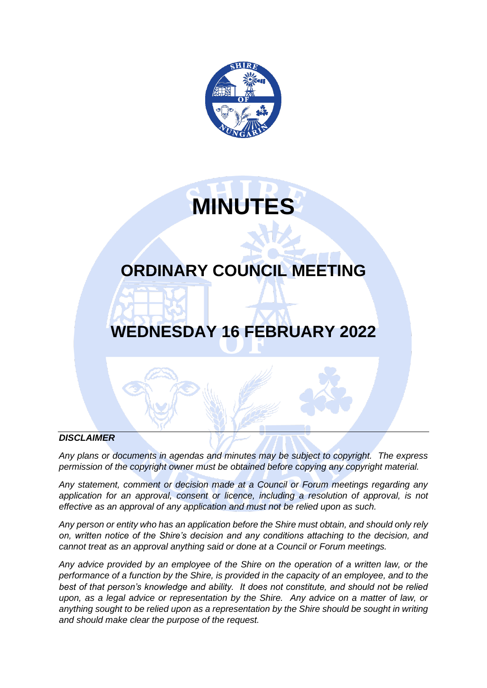



# **ORDINARY COUNCIL MEETING**

# **WEDNESDAY 16 FEBRUARY 2022**

#### *DISCLAIMER*

*Any plans or documents in agendas and minutes may be subject to copyright. The express permission of the copyright owner must be obtained before copying any copyright material.*

*Any statement, comment or decision made at a Council or Forum meetings regarding any*  application for an approval, consent or licence, including a resolution of approval, is not *effective as an approval of any application and must not be relied upon as such.*

*Any person or entity who has an application before the Shire must obtain, and should only rely on, written notice of the Shire's decision and any conditions attaching to the decision, and cannot treat as an approval anything said or done at a Council or Forum meetings.*

*Any advice provided by an employee of the Shire on the operation of a written law, or the performance of a function by the Shire, is provided in the capacity of an employee, and to the best of that person's knowledge and ability. It does not constitute, and should not be relied upon, as a legal advice or representation by the Shire. Any advice on a matter of law, or anything sought to be relied upon as a representation by the Shire should be sought in writing and should make clear the purpose of the request.*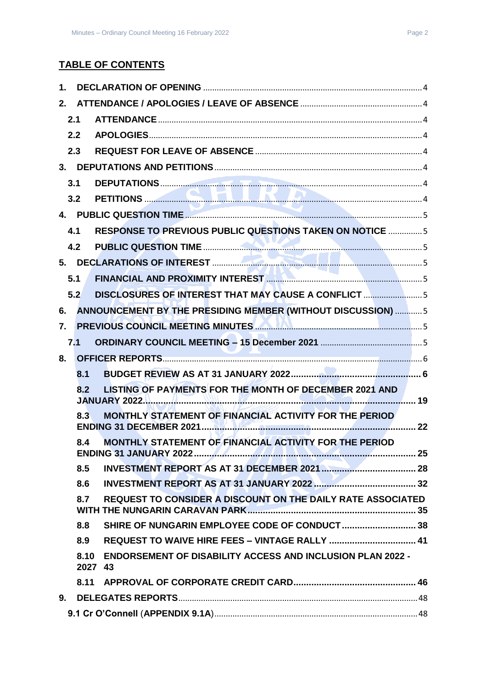# **TABLE OF CONTENTS**

| 1. |      |                                                                              |  |
|----|------|------------------------------------------------------------------------------|--|
| 2. |      |                                                                              |  |
|    | 2.1  |                                                                              |  |
|    | 2.2  |                                                                              |  |
|    | 2.3  |                                                                              |  |
|    |      |                                                                              |  |
|    | 3.1  |                                                                              |  |
|    | 3.2  |                                                                              |  |
|    |      |                                                                              |  |
|    | 4.1  | <b>RESPONSE TO PREVIOUS PUBLIC QUESTIONS TAKEN ON NOTICE 5</b>               |  |
|    | 4.2  |                                                                              |  |
|    |      |                                                                              |  |
|    | 5.1  |                                                                              |  |
|    | 5.2  | DISCLOSURES OF INTEREST THAT MAY CAUSE A CONFLICT 5                          |  |
| 6. |      | ANNOUNCEMENT BY THE PRESIDING MEMBER (WITHOUT DISCUSSION)  5                 |  |
| 7. |      | PREVIOUS COUNCIL MEETING MINUTES <b>AND ALL AND CONSTRUCTS</b> 5             |  |
|    | 7.1  |                                                                              |  |
| 8. |      |                                                                              |  |
|    | 8.1  |                                                                              |  |
|    | 8.2  | LISTING OF PAYMENTS FOR THE MONTH OF DECEMBER 2021 AND                       |  |
|    | 8.3  | MONTHLY STATEMENT OF FINANCIAL ACTIVITY FOR THE PERIOD                       |  |
|    | 8.4  | MONTHLY STATEMENT OF FINANCIAL ACTIVITY FOR THE PERIOD                       |  |
|    | 8.5  |                                                                              |  |
|    | 8.6  |                                                                              |  |
|    | 8.7  | REQUEST TO CONSIDER A DISCOUNT ON THE DAILY RATE ASSOCIATED                  |  |
|    | 8.8  |                                                                              |  |
|    | 8.9  |                                                                              |  |
|    | 8.10 | <b>ENDORSEMENT OF DISABILITY ACCESS AND INCLUSION PLAN 2022 -</b><br>2027 43 |  |
|    | 8.11 |                                                                              |  |
| 9. |      |                                                                              |  |
|    |      |                                                                              |  |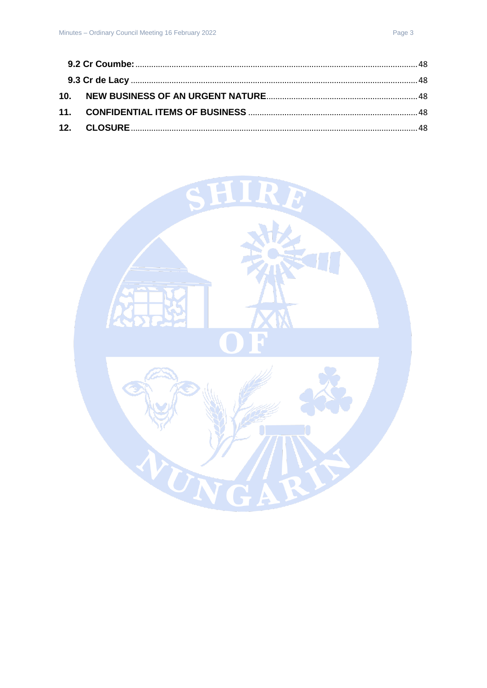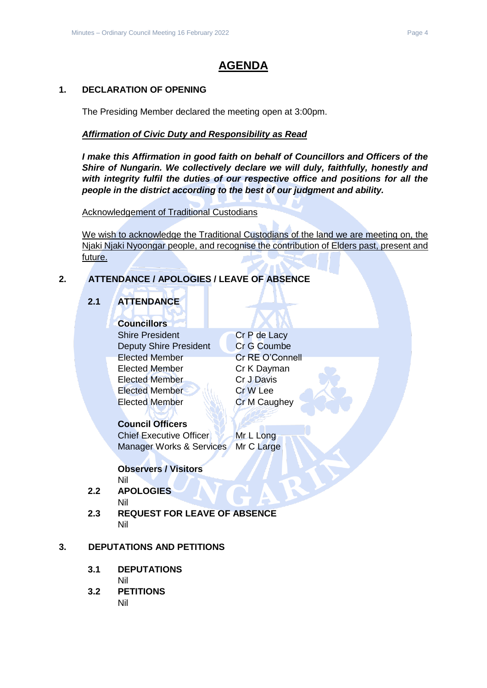# **AGENDA**

# <span id="page-3-0"></span>**1. DECLARATION OF OPENING**

The Presiding Member declared the meeting open at 3:00pm.

### *Affirmation of Civic Duty and Responsibility as Read*

*I make this Affirmation in good faith on behalf of Councillors and Officers of the Shire of Nungarin. We collectively declare we will duly, faithfully, honestly and with integrity fulfil the duties of our respective office and positions for all the people in the district according to the best of our judgment and ability.*

Acknowledgement of Traditional Custodians

We wish to acknowledge the Traditional Custodians of the land we are meeting on, the Njaki Njaki Nyoongar people, and recognise the contribution of Elders past, present and future.

# <span id="page-3-2"></span><span id="page-3-1"></span>**2. ATTENDANCE / APOLOGIES / LEAVE OF ABSENCE**

# **2.1 ATTENDANCE**

# **Councillors**

Shire President Cr P de Lacy Deputy Shire President Cr G Coumbe Elected Member Cr RE O'Connell Elected Member Cr K Dayman Elected Member Cr J Davis Elected Member Cr W Lee Elected Member **Cr M Caughey** 

# **Council Officers**

Chief Executive Officer Mr L Long Manager Works & Services Mr C Large

# **Observers / Visitors**

Nil

- <span id="page-3-3"></span>**2.2 APOLOGIES** Nil
- <span id="page-3-4"></span>**2.3 REQUEST FOR LEAVE OF ABSENCE** Nil

# <span id="page-3-6"></span><span id="page-3-5"></span>**3. DEPUTATIONS AND PETITIONS**

**3.1 DEPUTATIONS**

Nil

<span id="page-3-7"></span>**3.2 PETITIONS** Nil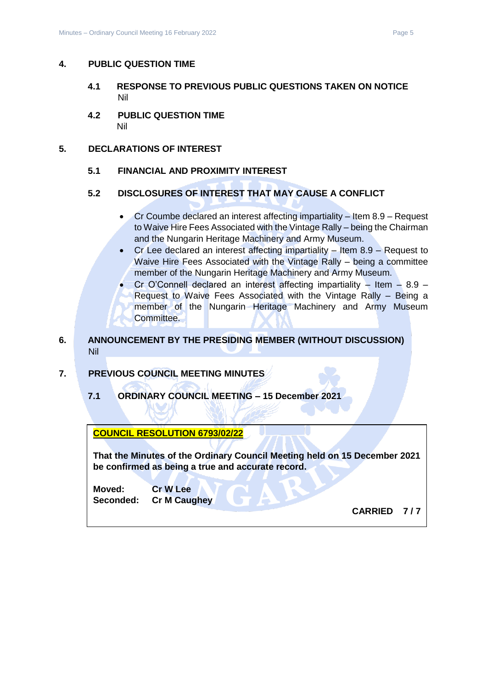#### <span id="page-4-1"></span><span id="page-4-0"></span>**4. PUBLIC QUESTION TIME**

- **4.1 RESPONSE TO PREVIOUS PUBLIC QUESTIONS TAKEN ON NOTICE** Nil
- <span id="page-4-2"></span>**4.2 PUBLIC QUESTION TIME** Nil

#### <span id="page-4-4"></span><span id="page-4-3"></span>**5. DECLARATIONS OF INTEREST**

**5.1 FINANCIAL AND PROXIMITY INTEREST**

#### <span id="page-4-5"></span>**5.2 DISCLOSURES OF INTEREST THAT MAY CAUSE A CONFLICT**

- Cr Coumbe declared an interest affecting impartiality Item 8.9 Request to Waive Hire Fees Associated with the Vintage Rally – being the Chairman and the Nungarin Heritage Machinery and Army Museum.
- Cr Lee declared an interest affecting impartiality Item 8.9 Request to Waive Hire Fees Associated with the Vintage Rally – being a committee member of the Nungarin Heritage Machinery and Army Museum.
- Cr O'Connell declared an interest affecting impartiality Item 8.9 Request to Waive Fees Associated with the Vintage Rally – Being a member of the Nungarin Heritage Machinery and Army Museum Committee.

# <span id="page-4-6"></span>**6. ANNOUNCEMENT BY THE PRESIDING MEMBER (WITHOUT DISCUSSION)** Nil

# <span id="page-4-8"></span><span id="page-4-7"></span>**7. PREVIOUS COUNCIL MEETING MINUTES**

**7.1 ORDINARY COUNCIL MEETING – 15 December 2021**

**COUNCIL RESOLUTION 6793/02/22** 

**That the Minutes of the Ordinary Council Meeting held on 15 December 2021 be confirmed as being a true and accurate record.**

**Moved: Cr W Lee Seconded: Cr M Caughey**

**CARRIED 7 / 7**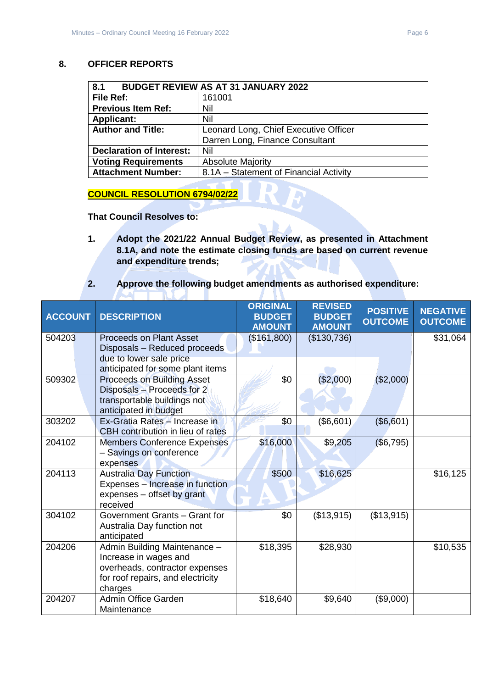#### <span id="page-5-0"></span>**8. OFFICER REPORTS**

<span id="page-5-1"></span>

| 8.1                             | <b>BUDGET REVIEW AS AT 31 JANUARY 2022</b> |  |  |  |
|---------------------------------|--------------------------------------------|--|--|--|
| File Ref:                       | 161001                                     |  |  |  |
| <b>Previous Item Ref:</b>       | Nil                                        |  |  |  |
| <b>Applicant:</b>               | Nil                                        |  |  |  |
| <b>Author and Title:</b>        | Leonard Long, Chief Executive Officer      |  |  |  |
|                                 | Darren Long, Finance Consultant            |  |  |  |
| <b>Declaration of Interest:</b> | Nil                                        |  |  |  |
| <b>Voting Requirements</b>      | <b>Absolute Majority</b>                   |  |  |  |
| <b>Attachment Number:</b>       | 8.1A – Statement of Financial Activity     |  |  |  |

# **COUNCIL RESOLUTION 6794/02/22**

**TALL** 

**That Council Resolves to:**

**ALC** 

**1. Adopt the 2021/22 Annual Budget Review, as presented in Attachment 8.1A, and note the estimate closing funds are based on current revenue and expenditure trends;**

л

**2. Approve the following budget amendments as authorised expenditure:**

| <b>ACCOUNT</b> | <b>DESCRIPTION</b>                                                                                                                      | <b>ORIGINAL</b><br><b>BUDGET</b><br><b>AMOUNT</b> | <b>REVISED</b><br><b>BUDGET</b><br><b>AMOUNT</b> | <b>POSITIVE</b><br><b>OUTCOME</b> | <b>NEGATIVE</b><br><b>OUTCOME</b> |
|----------------|-----------------------------------------------------------------------------------------------------------------------------------------|---------------------------------------------------|--------------------------------------------------|-----------------------------------|-----------------------------------|
| 504203         | <b>Proceeds on Plant Asset</b><br>Disposals - Reduced proceeds                                                                          | (\$161,800)                                       | (\$130,736)                                      |                                   | \$31,064                          |
|                | due to lower sale price<br>anticipated for some plant items                                                                             |                                                   |                                                  |                                   |                                   |
| 509302         | <b>Proceeds on Building Asset</b><br>Disposals - Proceeds for 2<br>transportable buildings not<br>anticipated in budget                 | \$0                                               | (\$2,000)                                        | (\$2,000)                         |                                   |
| 303202         | Ex-Gratia Rates - Increase in<br>CBH contribution in lieu of rates                                                                      | \$0                                               | (\$6,601)                                        | (\$6,601)                         |                                   |
| 204102         | <b>Members Conference Expenses</b><br>- Savings on conference<br>expenses                                                               | \$16,000                                          | \$9,205                                          | (\$6,795)                         |                                   |
| 204113         | <b>Australia Day Function</b><br>Expenses - Increase in function<br>expenses - offset by grant<br>received                              | \$500                                             | \$16,625                                         |                                   | \$16,125                          |
| 304102         | Government Grants - Grant for<br>Australia Day function not<br>anticipated                                                              | \$0                                               | (\$13,915)                                       | (\$13,915)                        |                                   |
| 204206         | Admin Building Maintenance -<br>Increase in wages and<br>overheads, contractor expenses<br>for roof repairs, and electricity<br>charges | \$18,395                                          | \$28,930                                         |                                   | \$10,535                          |
| 204207         | Admin Office Garden<br>Maintenance                                                                                                      | \$18,640                                          | \$9,640                                          | (\$9,000)                         |                                   |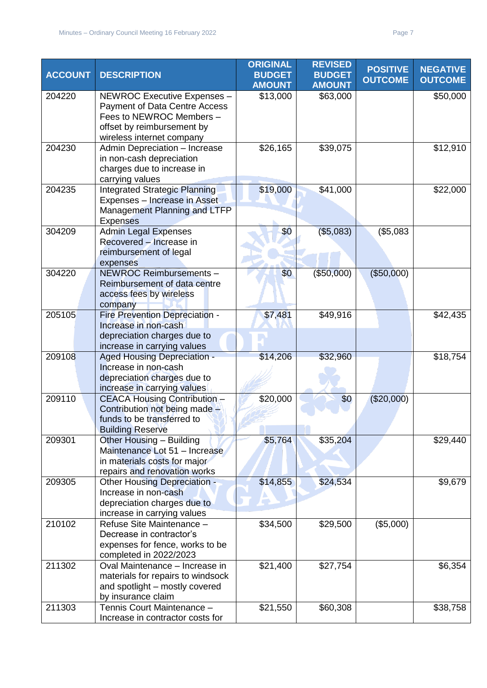| <b>ACCOUNT</b> | <b>DESCRIPTION</b>                                                                                                                                  | <b>ORIGINAL</b><br><b>BUDGET</b><br><b>AMOUNT</b> | <b>REVISED</b><br><b>BUDGET</b><br><b>AMOUNT</b> | <b>POSITIVE</b><br><b>OUTCOME</b> | <b>NEGATIVE</b><br><b>OUTCOME</b> |
|----------------|-----------------------------------------------------------------------------------------------------------------------------------------------------|---------------------------------------------------|--------------------------------------------------|-----------------------------------|-----------------------------------|
| 204220         | NEWROC Executive Expenses -<br>Payment of Data Centre Access<br>Fees to NEWROC Members -<br>offset by reimbursement by<br>wireless internet company | \$13,000                                          | \$63,000                                         |                                   | \$50,000                          |
| 204230         | Admin Depreciation - Increase<br>in non-cash depreciation<br>charges due to increase in<br>carrying values                                          | \$26,165                                          | \$39,075                                         |                                   | \$12,910                          |
| 204235         | Integrated Strategic Planning<br>Expenses - Increase in Asset<br>Management Planning and LTFP<br><b>Expenses</b>                                    | \$19,000                                          | \$41,000                                         |                                   | \$22,000                          |
| 304209         | <b>Admin Legal Expenses</b><br>Recovered - Increase in<br>reimbursement of legal<br>expenses                                                        | \$0                                               | (\$5,083)                                        | (\$5,083                          |                                   |
| 304220         | NEWROC Reimbursements -<br>Reimbursement of data centre<br>access fees by wireless<br>company                                                       | \$0                                               | (\$50,000)                                       | (\$50,000)                        |                                   |
| 205105         | Fire Prevention Depreciation -<br>Increase in non-cash<br>depreciation charges due to<br>increase in carrying values                                | \$7,481                                           | \$49,916                                         |                                   | \$42,435                          |
| 209108         | <b>Aged Housing Depreciation -</b><br>Increase in non-cash<br>depreciation charges due to<br>increase in carrying values                            | \$14,206                                          | \$32,960                                         |                                   | \$18,754                          |
| 209110         | <b>CEACA Housing Contribution -</b><br>Contribution not being made -<br>funds to be transferred to<br><b>Building Reserve</b>                       | \$20,000                                          | \$0                                              | (\$20,000)                        |                                   |
| 209301         | Other Housing - Building<br>Maintenance Lot 51 - Increase<br>in materials costs for major<br>repairs and renovation works                           | \$5,764                                           | \$35,204                                         |                                   | $\overline{$}29,440$              |
| 209305         | Other Housing Depreciation -<br>Increase in non-cash<br>depreciation charges due to<br>increase in carrying values                                  | \$14,855                                          | \$24,534                                         |                                   | \$9,679                           |
| 210102         | Refuse Site Maintenance -<br>Decrease in contractor's<br>expenses for fence, works to be<br>completed in 2022/2023                                  | \$34,500                                          | \$29,500                                         | (\$5,000)                         |                                   |
| 211302         | Oval Maintenance - Increase in<br>materials for repairs to windsock<br>and spotlight - mostly covered<br>by insurance claim                         | \$21,400                                          | \$27,754                                         |                                   | \$6,354                           |
| 211303         | Tennis Court Maintenance -<br>Increase in contractor costs for                                                                                      | \$21,550                                          | \$60,308                                         |                                   | \$38,758                          |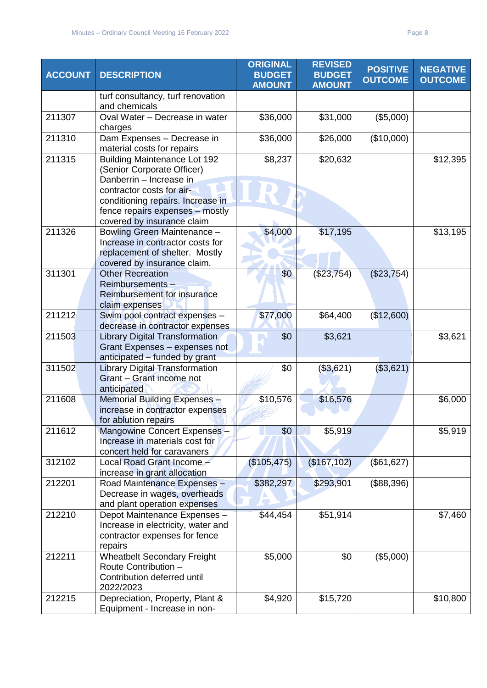| <b>ACCOUNT</b> | <b>DESCRIPTION</b>                                                                                                               | <b>ORIGINAL</b><br><b>BUDGET</b><br><b>AMOUNT</b> | <b>REVISED</b><br><b>BUDGET</b><br><b>AMOUNT</b> | <b>POSITIVE</b><br><b>OUTCOME</b> | <b>NEGATIVE</b><br><b>OUTCOME</b> |
|----------------|----------------------------------------------------------------------------------------------------------------------------------|---------------------------------------------------|--------------------------------------------------|-----------------------------------|-----------------------------------|
|                | turf consultancy, turf renovation<br>and chemicals                                                                               |                                                   |                                                  |                                   |                                   |
| 211307         | Oval Water - Decrease in water<br>charges                                                                                        | \$36,000                                          | \$31,000                                         | (\$5,000)                         |                                   |
| 211310         | Dam Expenses - Decrease in<br>material costs for repairs                                                                         | \$36,000                                          | \$26,000                                         | (\$10,000)                        |                                   |
| 211315         | <b>Building Maintenance Lot 192</b><br>(Senior Corporate Officer)<br>Danberrin - Increase in                                     | \$8,237                                           | \$20,632                                         |                                   | \$12,395                          |
|                | contractor costs for air-<br>conditioning repairs. Increase in<br>fence repairs expenses - mostly<br>covered by insurance claim  |                                                   |                                                  |                                   |                                   |
| 211326         | Bowling Green Maintenance -<br>Increase in contractor costs for<br>replacement of shelter. Mostly<br>covered by insurance claim. | \$4,000                                           | \$17,195                                         |                                   | \$13,195                          |
| 311301         | <b>Other Recreation</b><br>Reimbursements-<br>Reimbursement for insurance<br>claim expenses                                      | \$0                                               | $(\$23,754)$                                     | (\$23,754)                        |                                   |
| 211212         | Swim pool contract expenses -<br>decrease in contractor expenses                                                                 | \$77,000                                          | \$64,400                                         | (\$12,600)                        |                                   |
| 211503         | <b>Library Digital Transformation</b><br>Grant Expenses - expenses not<br>anticipated - funded by grant                          | \$0                                               | \$3,621                                          |                                   | \$3,621                           |
| 311502         | <b>Library Digital Transformation</b><br>Grant - Grant income not<br>anticipated                                                 | \$0                                               | (\$3,621)                                        | (\$3,621)                         |                                   |
| 211608         | Memorial Building Expenses -<br>increase in contractor expenses<br>for ablution repairs                                          | \$10,576                                          | \$16,576                                         |                                   | \$6,000                           |
| 211612         | Mangowine Concert Expenses -<br>Increase in materials cost for<br>concert held for caravaners                                    | \$0                                               | \$5,919                                          |                                   | \$5,919                           |
| 312102         | Local Road Grant Income -<br>increase in grant allocation                                                                        | (\$105,475)                                       | (\$167, 102)                                     | (\$61,627)                        |                                   |
| 212201         | Road Maintenance Expenses -<br>Decrease in wages, overheads<br>and plant operation expenses                                      | \$382,297                                         | \$293,901                                        | (\$88,396)                        |                                   |
| 212210         | Depot Maintenance Expenses -<br>Increase in electricity, water and<br>contractor expenses for fence<br>repairs                   | \$44,454                                          | \$51,914                                         |                                   | \$7,460                           |
| 212211         | <b>Wheatbelt Secondary Freight</b><br>Route Contribution -<br>Contribution deferred until<br>2022/2023                           | \$5,000                                           | \$0                                              | (\$5,000)                         |                                   |
| 212215         | Depreciation, Property, Plant &<br>Equipment - Increase in non-                                                                  | \$4,920                                           | \$15,720                                         |                                   | \$10,800                          |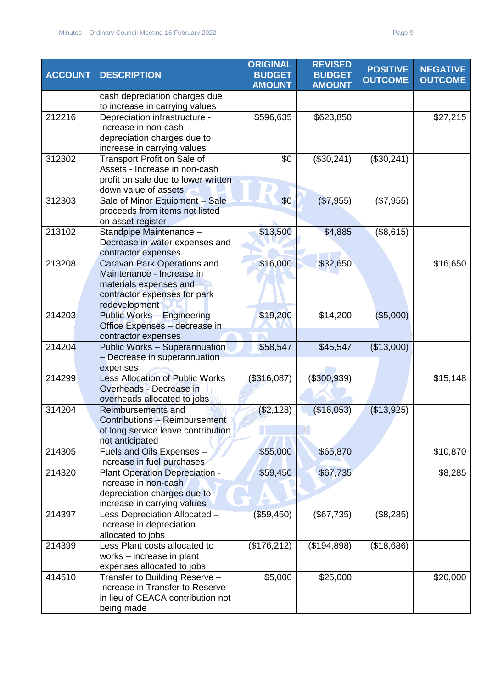| <b>ACCOUNT</b> | <b>DESCRIPTION</b>                                                                                                                  | <b>ORIGINAL</b><br><b>BUDGET</b><br><b>AMOUNT</b> | <b>REVISED</b><br><b>BUDGET</b><br><b>AMOUNT</b> | <b>POSITIVE</b><br><b>OUTCOME</b> | <b>NEGATIVE</b><br><b>OUTCOME</b> |
|----------------|-------------------------------------------------------------------------------------------------------------------------------------|---------------------------------------------------|--------------------------------------------------|-----------------------------------|-----------------------------------|
|                | cash depreciation charges due<br>to increase in carrying values                                                                     |                                                   |                                                  |                                   |                                   |
| 212216         | Depreciation infrastructure -<br>Increase in non-cash<br>depreciation charges due to<br>increase in carrying values                 | \$596,635                                         | \$623,850                                        |                                   | \$27,215                          |
| 312302         | Transport Profit on Sale of<br>Assets - Increase in non-cash<br>profit on sale due to lower written<br>down value of assets         | \$0                                               | (\$30,241)                                       | (\$30,241)                        |                                   |
| 312303         | Sale of Minor Equipment - Sale<br>proceeds from items not listed<br>on asset register                                               | \$0                                               | (\$7,955)                                        | (\$7,955)                         |                                   |
| 213102         | Standpipe Maintenance -<br>Decrease in water expenses and<br>contractor expenses                                                    | \$13,500                                          | \$4,885                                          | (\$8,615)                         |                                   |
| 213208         | Caravan Park Operations and<br>Maintenance - Increase in<br>materials expenses and<br>contractor expenses for park<br>redevelopment | \$16,000                                          | \$32,650                                         |                                   | \$16,650                          |
| 214203         | <b>Public Works - Engineering</b><br>Office Expenses - decrease in<br>contractor expenses                                           | \$19,200                                          | \$14,200                                         | (\$5,000)                         |                                   |
| 214204         | <b>Public Works - Superannuation</b><br>- Decrease in superannuation<br>expenses                                                    | \$58,547                                          | \$45,547                                         | (\$13,000)                        |                                   |
| 214299         | <b>Less Allocation of Public Works</b><br>Overheads - Decrease in<br>overheads allocated to jobs                                    | (\$316,087)                                       | (\$300,939)                                      |                                   | \$15,148                          |
| 314204         | Reimbursements and<br><b>Contributions - Reimbursement</b><br>of long service leave contribution<br>not anticipated                 | (\$2,128)                                         | (\$16,053)                                       | (\$13,925)                        |                                   |
| 214305         | Fuels and Oils Expenses -<br>Increase in fuel purchases                                                                             | \$55,000                                          | \$65,870                                         |                                   | \$10,870                          |
| 214320         | Plant Operation Depreciation -<br>Increase in non-cash<br>depreciation charges due to<br>increase in carrying values                | \$59,450                                          | \$67,735                                         |                                   | \$8,285                           |
| 214397         | Less Depreciation Allocated -<br>Increase in depreciation<br>allocated to jobs                                                      | (\$59,450)                                        | (\$67,735)                                       | (\$8,285)                         |                                   |
| 214399         | Less Plant costs allocated to<br>works - increase in plant<br>expenses allocated to jobs                                            | (\$176,212)                                       | (\$194,898)                                      | (\$18,686)                        |                                   |
| 414510         | Transfer to Building Reserve -<br>Increase in Transfer to Reserve<br>in lieu of CEACA contribution not<br>being made                | \$5,000                                           | \$25,000                                         |                                   | \$20,000                          |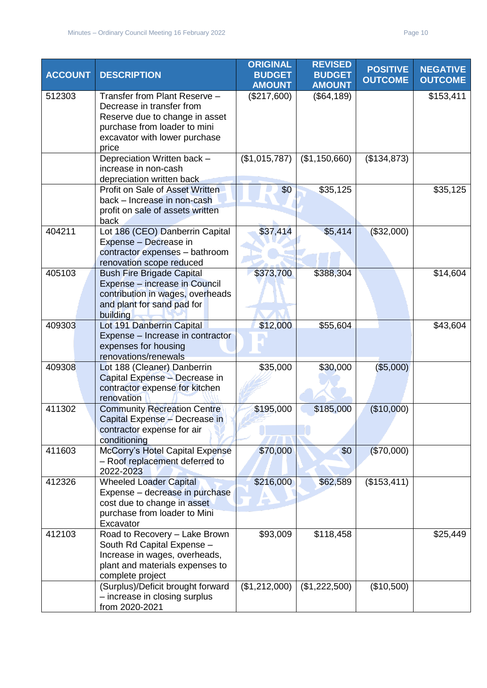| <b>ACCOUNT</b> | <b>DESCRIPTION</b>                                                                                                                                                     | <b>ORIGINAL</b><br><b>BUDGET</b> | <b>REVISED</b><br><b>BUDGET</b> | <b>POSITIVE</b><br><b>OUTCOME</b> | <b>NEGATIVE</b><br><b>OUTCOME</b> |
|----------------|------------------------------------------------------------------------------------------------------------------------------------------------------------------------|----------------------------------|---------------------------------|-----------------------------------|-----------------------------------|
|                |                                                                                                                                                                        | <b>AMOUNT</b>                    | <b>AMOUNT</b>                   |                                   |                                   |
| 512303         | Transfer from Plant Reserve -<br>Decrease in transfer from<br>Reserve due to change in asset<br>purchase from loader to mini<br>excavator with lower purchase<br>price | (\$217,600)                      | (\$64,189)                      |                                   | \$153,411                         |
|                | Depreciation Written back -<br>increase in non-cash<br>depreciation written back                                                                                       | (\$1,015,787)                    | (\$1,150,660)                   | (\$134,873)                       |                                   |
|                | Profit on Sale of Asset Written<br>back - Increase in non-cash<br>profit on sale of assets written<br>back                                                             | \$0                              | \$35,125                        |                                   | \$35,125                          |
| 404211         | Lot 186 (CEO) Danberrin Capital<br>Expense - Decrease in<br>contractor expenses - bathroom<br>renovation scope reduced                                                 | \$37,414                         | \$5,414                         | (\$32,000)                        |                                   |
| 405103         | <b>Bush Fire Brigade Capital</b><br>Expense - increase in Council<br>contribution in wages, overheads<br>and plant for sand pad for<br>building                        | \$373,700                        | \$388,304                       |                                   | \$14,604                          |
| 409303         | Lot 191 Danberrin Capital<br>Expense - Increase in contractor<br>expenses for housing<br>renovations/renewals                                                          | \$12,000                         | \$55,604                        |                                   | \$43,604                          |
| 409308         | Lot 188 (Cleaner) Danberrin<br>Capital Expense - Decrease in<br>contractor expense for kitchen<br>renovation                                                           | \$35,000                         | \$30,000                        | (\$5,000)                         |                                   |
| 411302         | <b>Community Recreation Centre</b><br>Capital Expense - Decrease in<br>contractor expense for air<br>conditioning                                                      | \$195,000                        | \$185,000                       | (\$10,000)                        |                                   |
| 411603         | McCorry's Hotel Capital Expense<br>- Roof replacement deferred to<br>2022-2023                                                                                         | \$70,000                         | \$0                             | (\$70,000)                        |                                   |
| 412326         | <b>Wheeled Loader Capital</b><br>Expense - decrease in purchase<br>cost due to change in asset<br>purchase from loader to Mini<br>Excavator                            | \$216,000                        | \$62,589                        | (\$153,411)                       |                                   |
| 412103         | Road to Recovery - Lake Brown<br>South Rd Capital Expense -<br>Increase in wages, overheads,<br>plant and materials expenses to<br>complete project                    | \$93,009                         | \$118,458                       |                                   | \$25,449                          |
|                | (Surplus)/Deficit brought forward<br>- increase in closing surplus<br>from 2020-2021                                                                                   | (\$1,212,000)                    | (\$1,222,500)                   | (\$10,500)                        |                                   |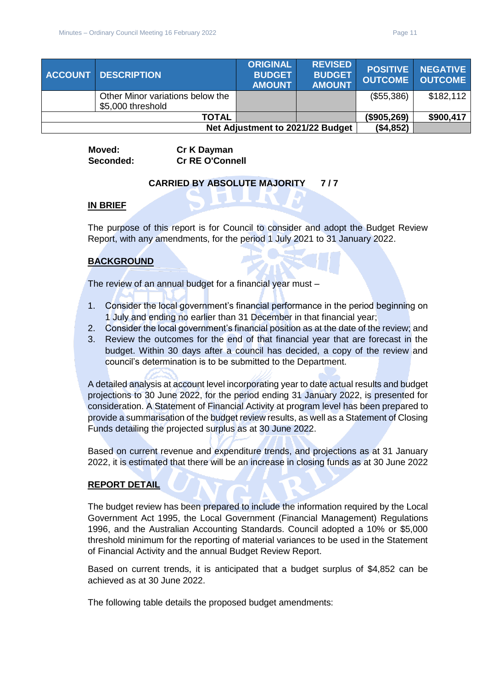|                                  | <b>ACCOUNT DESCRIPTION</b>                            | <b>ORIGINAL</b><br><b>BUDGET</b><br><b>AMOUNT</b> | <b>REVISED</b><br><b>BUDGET</b><br><b>AMOUNT</b> | <b>OUTCOME</b> | <b>POSITIVE NEGATIVE</b><br><b>OUTCOME</b> |
|----------------------------------|-------------------------------------------------------|---------------------------------------------------|--------------------------------------------------|----------------|--------------------------------------------|
|                                  | Other Minor variations below the<br>\$5,000 threshold |                                                   |                                                  | (\$55,386)     | \$182,112                                  |
|                                  | <b>TOTAL</b>                                          |                                                   |                                                  | (\$905,269)    | \$900,417                                  |
| Net Adjustment to 2021/22 Budget |                                                       |                                                   |                                                  | (\$4,852)      |                                            |

**Moved: Cr K Dayman Seconded: Cr RE O'Connell**

# **CARRIED BY ABSOLUTE MAJORITY 7 / 7**

#### **IN BRIEF**

The purpose of this report is for Council to consider and adopt the Budget Review Report, with any amendments, for the period 1 July 2021 to 31 January 2022.

# **BACKGROUND**

The review of an annual budget for a financial year must –

- 1. Consider the local government's financial performance in the period beginning on 1 July and ending no earlier than 31 December in that financial year;
- 2. Consider the local government's financial position as at the date of the review; and
- 3. Review the outcomes for the end of that financial year that are forecast in the budget. Within 30 days after a council has decided, a copy of the review and council's determination is to be submitted to the Department.

A detailed analysis at account level incorporating year to date actual results and budget projections to 30 June 2022, for the period ending 31 January 2022, is presented for consideration. A Statement of Financial Activity at program level has been prepared to provide a summarisation of the budget review results, as well as a Statement of Closing Funds detailing the projected surplus as at 30 June 2022.

Based on current revenue and expenditure trends, and projections as at 31 January 2022, it is estimated that there will be an increase in closing funds as at 30 June 2022

#### **REPORT DETAIL**

The budget review has been prepared to include the information required by the Local Government Act 1995, the Local Government (Financial Management) Regulations 1996, and the Australian Accounting Standards. Council adopted a 10% or \$5,000 threshold minimum for the reporting of material variances to be used in the Statement of Financial Activity and the annual Budget Review Report.

Based on current trends, it is anticipated that a budget surplus of \$4,852 can be achieved as at 30 June 2022.

The following table details the proposed budget amendments: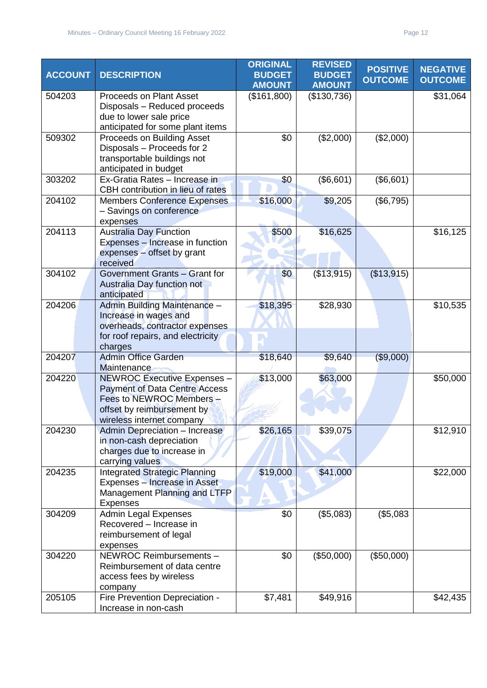| <b>ACCOUNT</b> | <b>DESCRIPTION</b>                                                                                                                                                | <b>ORIGINAL</b><br><b>BUDGET</b><br><b>AMOUNT</b> | <b>REVISED</b><br><b>BUDGET</b><br><b>AMOUNT</b> | <b>POSITIVE</b><br><b>OUTCOME</b> | <b>NEGATIVE</b><br><b>OUTCOME</b> |
|----------------|-------------------------------------------------------------------------------------------------------------------------------------------------------------------|---------------------------------------------------|--------------------------------------------------|-----------------------------------|-----------------------------------|
| 504203         | <b>Proceeds on Plant Asset</b><br>Disposals - Reduced proceeds<br>due to lower sale price<br>anticipated for some plant items                                     | (\$161,800)                                       | (\$130,736)                                      |                                   | \$31,064                          |
| 509302         | Proceeds on Building Asset<br>Disposals - Proceeds for 2<br>transportable buildings not<br>anticipated in budget                                                  | \$0                                               | (\$2,000)                                        | (\$2,000)                         |                                   |
| 303202         | Ex-Gratia Rates - Increase in<br>CBH contribution in lieu of rates                                                                                                | \$0                                               | (\$6,601)                                        | (\$6,601)                         |                                   |
| 204102         | <b>Members Conference Expenses</b><br>- Savings on conference<br>expenses                                                                                         | \$16,000                                          | \$9,205                                          | (\$6,795)                         |                                   |
| 204113         | <b>Australia Day Function</b><br>Expenses - Increase in function<br>expenses - offset by grant<br>received                                                        | \$500                                             | \$16,625                                         |                                   | \$16,125                          |
| 304102         | Government Grants - Grant for<br>Australia Day function not<br>anticipated                                                                                        | \$0                                               | (\$13,915)                                       | (\$13,915)                        |                                   |
| 204206         | Admin Building Maintenance -<br>Increase in wages and<br>overheads, contractor expenses<br>for roof repairs, and electricity<br>charges                           | \$18,395                                          | \$28,930                                         |                                   | \$10,535                          |
| 204207         | <b>Admin Office Garden</b><br>Maintenance                                                                                                                         | \$18,640                                          | \$9,640                                          | (\$9,000)                         |                                   |
| 204220         | <b>NEWROC Executive Expenses -</b><br><b>Payment of Data Centre Access</b><br>Fees to NEWROC Members -<br>offset by reimbursement by<br>wireless internet company | \$13,000                                          | \$63,000                                         |                                   | \$50,000                          |
| 204230         | <b>Admin Depreciation - Increase</b><br>in non-cash depreciation<br>charges due to increase in<br>carrying values                                                 | \$26,165                                          | \$39,075                                         |                                   | \$12,910                          |
| 204235         | <b>Integrated Strategic Planning</b><br>Expenses - Increase in Asset<br><b>Management Planning and LTFP</b><br><b>Expenses</b>                                    | \$19,000                                          | \$41,000                                         |                                   | \$22,000                          |
| 304209         | <b>Admin Legal Expenses</b><br>Recovered - Increase in<br>reimbursement of legal<br>expenses                                                                      | \$0                                               | (\$5,083)                                        | (\$5,083                          |                                   |
| 304220         | NEWROC Reimbursements -<br>Reimbursement of data centre<br>access fees by wireless<br>company                                                                     | \$0                                               | (\$50,000)                                       | (\$50,000)                        |                                   |
| 205105         | Fire Prevention Depreciation -<br>Increase in non-cash                                                                                                            | \$7,481                                           | \$49,916                                         |                                   | \$42,435                          |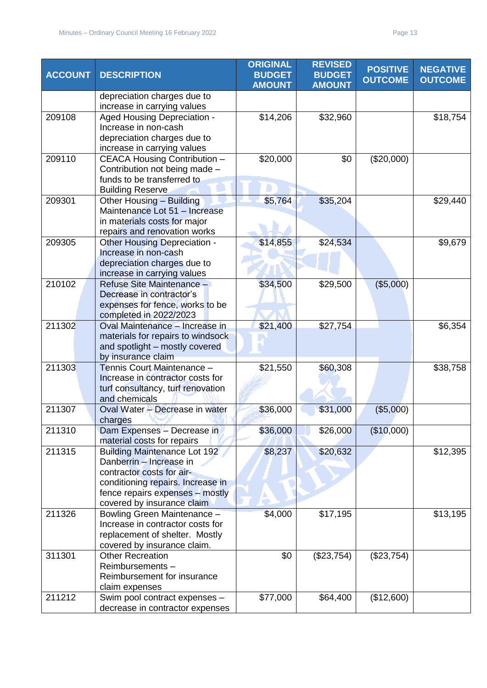| <b>ACCOUNT</b> | <b>DESCRIPTION</b>                                              | <b>ORIGINAL</b><br><b>BUDGET</b><br><b>AMOUNT</b> | <b>REVISED</b><br><b>BUDGET</b><br><b>AMOUNT</b> | <b>POSITIVE</b><br><b>OUTCOME</b> | <b>NEGATIVE</b><br><b>OUTCOME</b> |
|----------------|-----------------------------------------------------------------|---------------------------------------------------|--------------------------------------------------|-----------------------------------|-----------------------------------|
|                | depreciation charges due to                                     |                                                   |                                                  |                                   |                                   |
|                | increase in carrying values                                     |                                                   |                                                  |                                   |                                   |
| 209108         | Aged Housing Depreciation -<br>Increase in non-cash             | \$14,206                                          | \$32,960                                         |                                   | \$18,754                          |
|                | depreciation charges due to                                     |                                                   |                                                  |                                   |                                   |
|                | increase in carrying values                                     |                                                   |                                                  |                                   |                                   |
| 209110         | CEACA Housing Contribution -                                    | \$20,000                                          | \$0                                              | (\$20,000)                        |                                   |
|                | Contribution not being made -                                   |                                                   |                                                  |                                   |                                   |
|                | funds to be transferred to                                      |                                                   |                                                  |                                   |                                   |
|                | <b>Building Reserve</b>                                         |                                                   |                                                  |                                   |                                   |
| 209301         | Other Housing - Building                                        | \$5,764                                           | \$35,204                                         |                                   | \$29,440                          |
|                | Maintenance Lot 51 - Increase                                   |                                                   |                                                  |                                   |                                   |
|                | in materials costs for major                                    |                                                   |                                                  |                                   |                                   |
|                | repairs and renovation works                                    |                                                   |                                                  |                                   |                                   |
| 209305         | Other Housing Depreciation -                                    | \$14,855                                          | \$24,534                                         |                                   | \$9,679                           |
|                | Increase in non-cash                                            |                                                   |                                                  |                                   |                                   |
|                | depreciation charges due to<br>increase in carrying values      |                                                   |                                                  |                                   |                                   |
| 210102         | Refuse Site Maintenance -                                       | \$34,500                                          | \$29,500                                         | (\$5,000)                         |                                   |
|                | Decrease in contractor's                                        |                                                   |                                                  |                                   |                                   |
|                | expenses for fence, works to be                                 |                                                   |                                                  |                                   |                                   |
|                | completed in 2022/2023                                          |                                                   |                                                  |                                   |                                   |
| 211302         | Oval Maintenance - Increase in                                  | \$21,400                                          | \$27,754                                         |                                   | \$6,354                           |
|                | materials for repairs to windsock                               |                                                   |                                                  |                                   |                                   |
|                | and spotlight - mostly covered                                  |                                                   |                                                  |                                   |                                   |
|                | by insurance claim                                              |                                                   |                                                  |                                   |                                   |
| 211303         | Tennis Court Maintenance -                                      | \$21,550                                          | \$60,308                                         |                                   | \$38,758                          |
|                | Increase in contractor costs for                                |                                                   |                                                  |                                   |                                   |
|                | turf consultancy, turf renovation<br>and chemicals              |                                                   |                                                  |                                   |                                   |
| 211307         | Oval Water - Decrease in water                                  | \$36,000                                          | \$31,000                                         | (\$5,000)                         |                                   |
|                | charges                                                         |                                                   |                                                  |                                   |                                   |
| 211310         | Dam Expenses - Decrease in                                      | \$36,000                                          | \$26,000                                         | (\$10,000)                        |                                   |
|                | material costs for repairs                                      |                                                   |                                                  |                                   |                                   |
| 211315         | <b>Building Maintenance Lot 192</b>                             | \$8,237                                           | \$20,632                                         |                                   | \$12,395                          |
|                | Danberrin - Increase in                                         |                                                   |                                                  |                                   |                                   |
|                | contractor costs for air-                                       |                                                   |                                                  |                                   |                                   |
|                | conditioning repairs. Increase in                               |                                                   |                                                  |                                   |                                   |
|                | fence repairs expenses - mostly                                 |                                                   |                                                  |                                   |                                   |
|                | covered by insurance claim                                      |                                                   |                                                  |                                   |                                   |
| 211326         | Bowling Green Maintenance -<br>Increase in contractor costs for | \$4,000                                           | \$17,195                                         |                                   | \$13,195                          |
|                | replacement of shelter. Mostly                                  |                                                   |                                                  |                                   |                                   |
|                | covered by insurance claim.                                     |                                                   |                                                  |                                   |                                   |
| 311301         | <b>Other Recreation</b>                                         | \$0                                               | (\$23,754)                                       | (\$23,754)                        |                                   |
|                | Reimbursements-                                                 |                                                   |                                                  |                                   |                                   |
|                | Reimbursement for insurance                                     |                                                   |                                                  |                                   |                                   |
|                | claim expenses                                                  |                                                   |                                                  |                                   |                                   |
| 211212         | Swim pool contract expenses -                                   | \$77,000                                          | \$64,400                                         | (\$12,600)                        |                                   |
|                | decrease in contractor expenses                                 |                                                   |                                                  |                                   |                                   |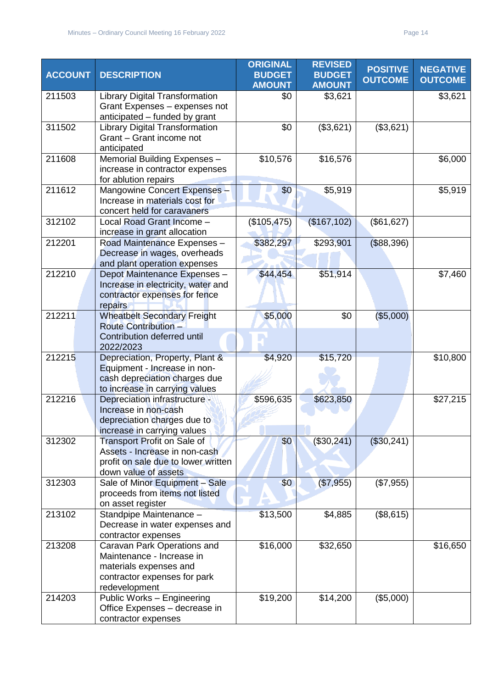| <b>ACCOUNT</b> | <b>DESCRIPTION</b>                                                                                                                  | <b>ORIGINAL</b><br><b>BUDGET</b><br><b>AMOUNT</b> | <b>REVISED</b><br><b>BUDGET</b><br><b>AMOUNT</b> | <b>POSITIVE</b><br><b>OUTCOME</b> | <b>NEGATIVE</b><br><b>OUTCOME</b> |
|----------------|-------------------------------------------------------------------------------------------------------------------------------------|---------------------------------------------------|--------------------------------------------------|-----------------------------------|-----------------------------------|
| 211503         | <b>Library Digital Transformation</b><br>Grant Expenses - expenses not<br>anticipated - funded by grant                             | \$0                                               | \$3,621                                          |                                   | \$3,621                           |
| 311502         | <b>Library Digital Transformation</b><br>Grant - Grant income not<br>anticipated                                                    | \$0                                               | (\$3,621)                                        | (\$3,621)                         |                                   |
| 211608         | Memorial Building Expenses -<br>increase in contractor expenses<br>for ablution repairs                                             | \$10,576                                          | \$16,576                                         |                                   | \$6,000                           |
| 211612         | Mangowine Concert Expenses -<br>Increase in materials cost for<br>concert held for caravaners                                       | \$0                                               | \$5,919                                          |                                   | \$5,919                           |
| 312102         | Local Road Grant Income -<br>increase in grant allocation                                                                           | (\$105, 475)                                      | (\$167, 102)                                     | (\$61,627)                        |                                   |
| 212201         | Road Maintenance Expenses -<br>Decrease in wages, overheads<br>and plant operation expenses                                         | \$382,297                                         | \$293,901                                        | (\$88,396)                        |                                   |
| 212210         | Depot Maintenance Expenses -<br>Increase in electricity, water and<br>contractor expenses for fence<br>repairs                      | \$44,454                                          | \$51,914                                         |                                   | \$7,460                           |
| 212211         | <b>Wheatbelt Secondary Freight</b><br><b>Route Contribution -</b><br>Contribution deferred until<br>2022/2023                       | \$5,000                                           | \$0                                              | (\$5,000)                         |                                   |
| 212215         | Depreciation, Property, Plant &<br>Equipment - Increase in non-<br>cash depreciation charges due<br>to increase in carrying values  | \$4,920                                           | \$15,720                                         |                                   | \$10,800                          |
| 212216         | Depreciation infrastructure -<br>Increase in non-cash<br>depreciation charges due to<br>increase in carrying values                 | \$596,635                                         | \$623,850                                        |                                   | \$27,215                          |
| 312302         | <b>Transport Profit on Sale of</b><br>Assets - Increase in non-cash<br>profit on sale due to lower written<br>down value of assets  | \$0                                               | (\$30,241)                                       | (\$30,241)                        |                                   |
| 312303         | Sale of Minor Equipment - Sale<br>proceeds from items not listed<br>on asset register                                               | \$0                                               | (\$7,955)                                        | (\$7,955)                         |                                   |
| 213102         | Standpipe Maintenance -<br>Decrease in water expenses and<br>contractor expenses                                                    | \$13,500                                          | \$4,885                                          | (\$8,615)                         |                                   |
| 213208         | Caravan Park Operations and<br>Maintenance - Increase in<br>materials expenses and<br>contractor expenses for park<br>redevelopment | \$16,000                                          | \$32,650                                         |                                   | \$16,650                          |
| 214203         | Public Works - Engineering<br>Office Expenses - decrease in<br>contractor expenses                                                  | \$19,200                                          | \$14,200                                         | (\$5,000)                         |                                   |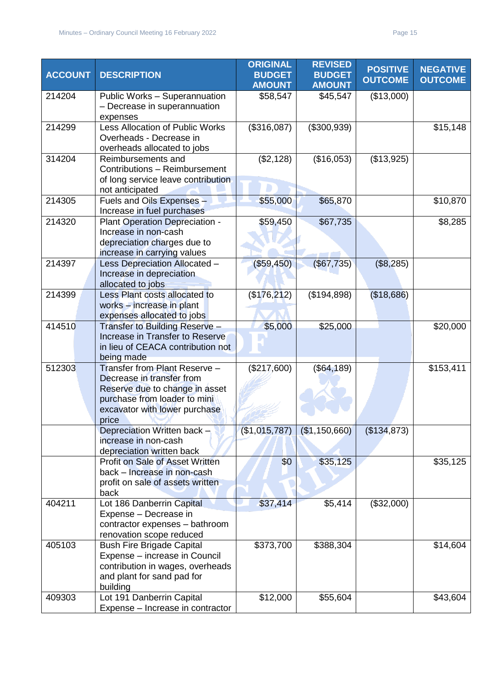| <b>ACCOUNT</b> | <b>DESCRIPTION</b>                                                                                                                                                     | <b>ORIGINAL</b><br><b>BUDGET</b> | <b>REVISED</b><br><b>BUDGET</b> | <b>POSITIVE</b> | <b>NEGATIVE</b> |
|----------------|------------------------------------------------------------------------------------------------------------------------------------------------------------------------|----------------------------------|---------------------------------|-----------------|-----------------|
|                |                                                                                                                                                                        | <b>AMOUNT</b>                    | <b>AMOUNT</b>                   | <b>OUTCOME</b>  | <b>OUTCOME</b>  |
| 214204         | Public Works - Superannuation<br>- Decrease in superannuation<br>expenses                                                                                              | \$58,547                         | \$45,547                        | (\$13,000)      |                 |
| 214299         | Less Allocation of Public Works<br>Overheads - Decrease in<br>overheads allocated to jobs                                                                              | (\$316,087)                      | (\$300,939)                     |                 | \$15,148        |
| 314204         | Reimbursements and<br>Contributions - Reimbursement<br>of long service leave contribution<br>not anticipated                                                           | (\$2,128)                        | (\$16,053)                      | (\$13,925)      |                 |
| 214305         | Fuels and Oils Expenses -<br>Increase in fuel purchases                                                                                                                | \$55,000                         | \$65,870                        |                 | \$10,870        |
| 214320         | Plant Operation Depreciation -<br>Increase in non-cash<br>depreciation charges due to<br>increase in carrying values                                                   | \$59,450                         | \$67,735                        |                 | \$8,285         |
| 214397         | Less Depreciation Allocated -<br>Increase in depreciation<br>allocated to jobs                                                                                         | (\$59,450)                       | $($ \$67,735)                   | (\$8,285)       |                 |
| 214399         | Less Plant costs allocated to<br>works - increase in plant<br>expenses allocated to jobs                                                                               | (\$176, 212)                     | (\$194,898)                     | (\$18,686)      |                 |
| 414510         | Transfer to Building Reserve -<br>Increase in Transfer to Reserve<br>in lieu of CEACA contribution not<br>being made                                                   | \$5,000                          | \$25,000                        |                 | \$20,000        |
| 512303         | Transfer from Plant Reserve -<br>Decrease in transfer from<br>Reserve due to change in asset<br>purchase from loader to mini<br>excavator with lower purchase<br>price | (\$217,600)                      | (\$64, 189)                     |                 | \$153,411       |
|                | Depreciation Written back $\rightarrow$<br>increase in non-cash<br>depreciation written back                                                                           | (\$1,015,787)                    | (\$1,150,660)                   | (\$134,873)     |                 |
|                | Profit on Sale of Asset Written<br>back - Increase in non-cash<br>profit on sale of assets written<br>back                                                             | \$0                              | \$35,125                        |                 | \$35,125        |
| 404211         | Lot 186 Danberrin Capital<br>Expense - Decrease in<br>contractor expenses - bathroom<br>renovation scope reduced                                                       | \$37,414                         | \$5,414                         | (\$32,000)      |                 |
| 405103         | <b>Bush Fire Brigade Capital</b><br>Expense - increase in Council<br>contribution in wages, overheads<br>and plant for sand pad for<br>building                        | \$373,700                        | \$388,304                       |                 | \$14,604        |
| 409303         | Lot 191 Danberrin Capital<br>Expense - Increase in contractor                                                                                                          | \$12,000                         | \$55,604                        |                 | \$43,604        |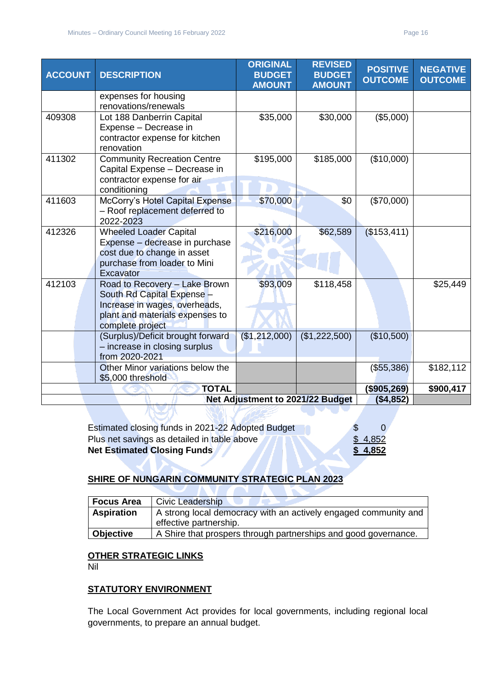| <b>ACCOUNT</b> | <b>DESCRIPTION</b>                                                                                                                                  | <b>ORIGINAL</b><br><b>BUDGET</b><br><b>AMOUNT</b> | <b>REVISED</b><br><b>BUDGET</b><br><b>AMOUNT</b> | <b>POSITIVE</b><br><b>OUTCOME</b> | <b>NEGATIVE</b><br><b>OUTCOME</b> |
|----------------|-----------------------------------------------------------------------------------------------------------------------------------------------------|---------------------------------------------------|--------------------------------------------------|-----------------------------------|-----------------------------------|
|                | expenses for housing<br>renovations/renewals                                                                                                        |                                                   |                                                  |                                   |                                   |
| 409308         | Lot 188 Danberrin Capital<br>Expense - Decrease in<br>contractor expense for kitchen<br>renovation                                                  | \$35,000                                          | \$30,000                                         | (\$5,000)                         |                                   |
| 411302         | <b>Community Recreation Centre</b><br>Capital Expense - Decrease in<br>contractor expense for air<br>conditioning                                   | \$195,000                                         | \$185,000                                        | (\$10,000)                        |                                   |
| 411603         | McCorry's Hotel Capital Expense<br>- Roof replacement deferred to<br>2022-2023                                                                      | \$70,000                                          | \$0                                              | (\$70,000)                        |                                   |
| 412326         | <b>Wheeled Loader Capital</b><br>Expense - decrease in purchase<br>cost due to change in asset<br>purchase from loader to Mini<br>Excavator         | \$216,000                                         | \$62,589                                         | (\$153,411)                       |                                   |
| 412103         | Road to Recovery - Lake Brown<br>South Rd Capital Expense -<br>Increase in wages, overheads,<br>plant and materials expenses to<br>complete project | \$93,009                                          | \$118,458                                        |                                   | \$25,449                          |
|                | (Surplus)/Deficit brought forward<br>- increase in closing surplus<br>from 2020-2021                                                                | (\$1,212,000)                                     | (\$1,222,500)                                    | (\$10,500)                        |                                   |
|                | Other Minor variations below the<br>\$5,000 threshold                                                                                               |                                                   |                                                  | (\$55,386)                        | \$182,112                         |
|                | <b>TOTAL</b>                                                                                                                                        |                                                   |                                                  | (\$905,269)                       | \$900,417                         |
|                |                                                                                                                                                     | Net Adjustment to 2021/22 Budget                  |                                                  | ( \$4,852)                        |                                   |
|                |                                                                                                                                                     |                                                   |                                                  |                                   |                                   |

| Estimated closing funds in 2021-22 Adopted Budget |         |
|---------------------------------------------------|---------|
| Plus net savings as detailed in table above       | \$4,852 |
| <b>Net Estimated Closing Funds</b>                | \$4,852 |

405

# **SHIRE OF NUNGARIN COMMUNITY STRATEGIC PLAN 2023**

| <b>Focus Area</b> | <b>Civic Leadership</b>                                         |
|-------------------|-----------------------------------------------------------------|
| <b>Aspiration</b> | A strong local democracy with an actively engaged community and |
|                   | effective partnership.                                          |
| <b>Objective</b>  | A Shire that prospers through partnerships and good governance. |

#### **OTHER STRATEGIC LINKS**

Nil

# **STATUTORY ENVIRONMENT**

The Local Government Act provides for local governments, including regional local governments, to prepare an annual budget.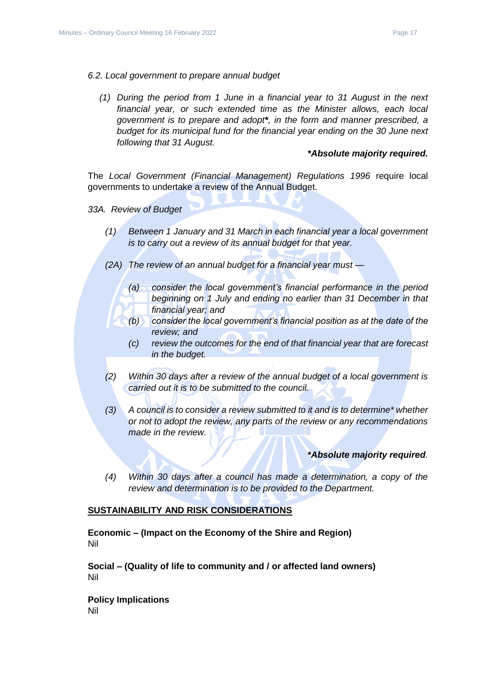- *6.2. Local government to prepare annual budget*
	- *(1) During the period from 1 June in a financial year to 31 August in the next financial year, or such extended time as the Minister allows, each local government is to prepare and adopt\*, in the form and manner prescribed, a budget for its municipal fund for the financial year ending on the 30 June next following that 31 August.*

#### *\*Absolute majority required.*

The *Local Government (Financial Management) Regulations 1996* require local governments to undertake a review of the Annual Budget.

*33A. Review of Budget*

- *(1) Between 1 January and 31 March in each financial year a local government is to carry out a review of its annual budget for that year.*
- *(2A) The review of an annual budget for a financial year must —*
	- *(a) consider the local government's financial performance in the period beginning on 1 July and ending no earlier than 31 December in that financial year; and*
	- *(b) consider the local government's financial position as at the date of the review; and*
	- *(c) review the outcomes for the end of that financial year that are forecast in the budget.*
- *(2) Within 30 days after a review of the annual budget of a local government is carried out it is to be submitted to the council.*
- *(3) A council is to consider a review submitted to it and is to determine\* whether or not to adopt the review, any parts of the review or any recommendations made in the review.*

#### *\*Absolute majority required.*

*(4) Within 30 days after a council has made a determination, a copy of the review and determination is to be provided to the Department.*

#### **SUSTAINABILITY AND RISK CONSIDERATIONS**

**Economic – (Impact on the Economy of the Shire and Region)** Nil

**Social – (Quality of life to community and / or affected land owners)** Nil

**Policy Implications** Nil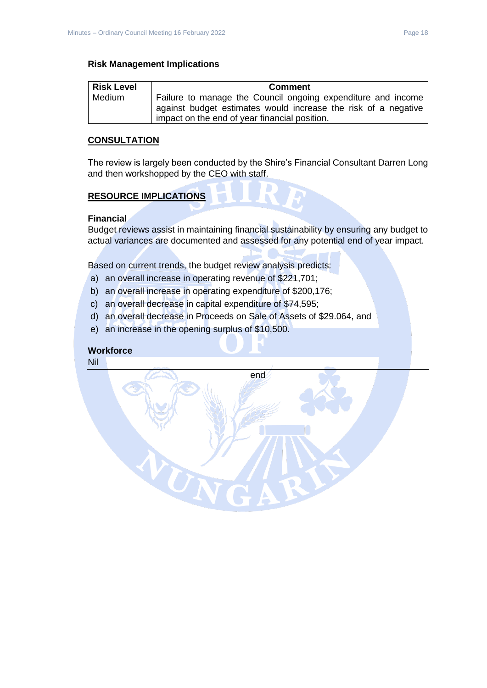# **Risk Management Implications**

| <b>Risk Level</b> | <b>Comment</b>                                                                                                                 |
|-------------------|--------------------------------------------------------------------------------------------------------------------------------|
| Medium            | Failure to manage the Council ongoing expenditure and income<br>against budget estimates would increase the risk of a negative |
|                   | impact on the end of year financial position.                                                                                  |

#### **CONSULTATION**

The review is largely been conducted by the Shire's Financial Consultant Darren Long and then workshopped by the CEO with staff.

#### **RESOURCE IMPLICATIONS**

#### **Financial**

Budget reviews assist in maintaining financial sustainability by ensuring any budget to actual variances are documented and assessed for any potential end of year impact.

Based on current trends, the budget review analysis predicts:

- a) an overall increase in operating revenue of \$221,701;
- b) an overall increase in operating expenditure of \$200,176;
- c) an overall decrease in capital expenditure of \$74,595;
- d) an overall decrease in Proceeds on Sale of Assets of \$29.064, and
- e) an increase in the opening surplus of \$10,500.

UN

# **Workforce**

Nil

end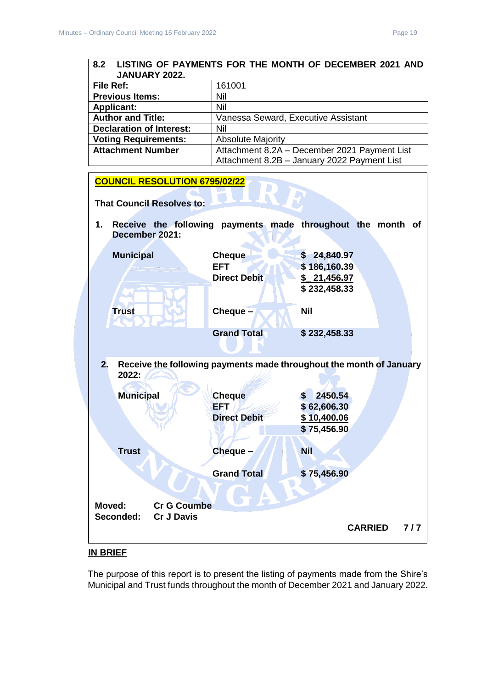#### <span id="page-18-0"></span>**8.2 LISTING OF PAYMENTS FOR THE MONTH OF DECEMBER 2021 AND JANUARY 2022.**

| File Ref:                       | 161001                                       |
|---------------------------------|----------------------------------------------|
| <b>Previous Items:</b>          | Nil                                          |
| <b>Applicant:</b>               | Nil                                          |
| <b>Author and Title:</b>        | Vanessa Seward, Executive Assistant          |
| <b>Declaration of Interest:</b> | Nil                                          |
| <b>Voting Requirements:</b>     | <b>Absolute Majority</b>                     |
| <b>Attachment Number</b>        | Attachment 8.2A - December 2021 Payment List |
|                                 | Attachment 8.2B - January 2022 Payment List  |



# **IN BRIEF**

The purpose of this report is to present the listing of payments made from the Shire's Municipal and Trust funds throughout the month of December 2021 and January 2022.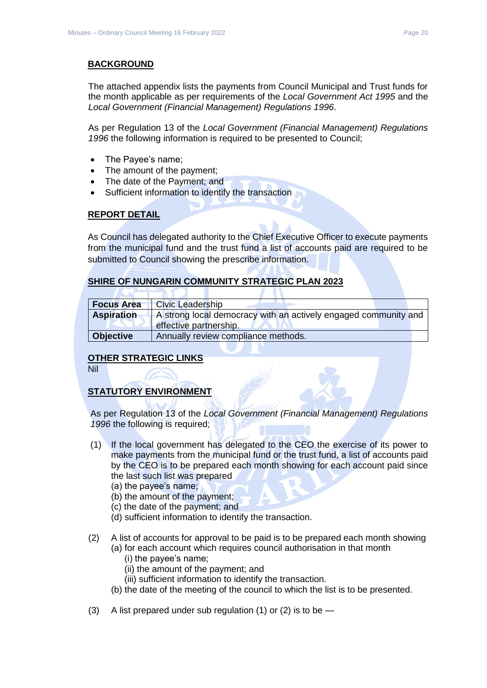# **BACKGROUND**

The attached appendix lists the payments from Council Municipal and Trust funds for the month applicable as per requirements of the *Local Government Act 1995* and the *Local Government (Financial Management) Regulations 1996*.

As per Regulation 13 of the *Local Government (Financial Management) Regulations 1996* the following information is required to be presented to Council;

- The Payee's name;
- The amount of the payment;
- The date of the Payment; and
- Sufficient information to identify the transaction

#### **REPORT DETAIL**

As Council has delegated authority to the Chief Executive Officer to execute payments from the municipal fund and the trust fund a list of accounts paid are required to be submitted to Council showing the prescribe information.

#### **SHIRE OF NUNGARIN COMMUNITY STRATEGIC PLAN 2023**

| <b>Focus Area</b> | <b>Civic Leadership</b>                                                                   |
|-------------------|-------------------------------------------------------------------------------------------|
| <b>Aspiration</b> | A strong local democracy with an actively engaged community and<br>effective partnership. |
| <b>Objective</b>  | Annually review compliance methods.                                                       |

#### **OTHER STRATEGIC LINKS**

Nil

# **STATUTORY ENVIRONMENT**

As per Regulation 13 of the *Local Government (Financial Management) Regulations 1996* the following is required;

- (1) If the local government has delegated to the CEO the exercise of its power to make payments from the municipal fund or the trust fund, a list of accounts paid by the CEO is to be prepared each month showing for each account paid since the last such list was prepared
	- (a) the payee's name;
	- (b) the amount of the payment;
	- (c) the date of the payment; and
	- (d) sufficient information to identify the transaction.
- (2) A list of accounts for approval to be paid is to be prepared each month showing
	- (a) for each account which requires council authorisation in that month
		- (i) the payee's name;
		- (ii) the amount of the payment; and
		- (iii) sufficient information to identify the transaction.
	- (b) the date of the meeting of the council to which the list is to be presented.
- (3) A list prepared under sub regulation (1) or (2) is to be  $-$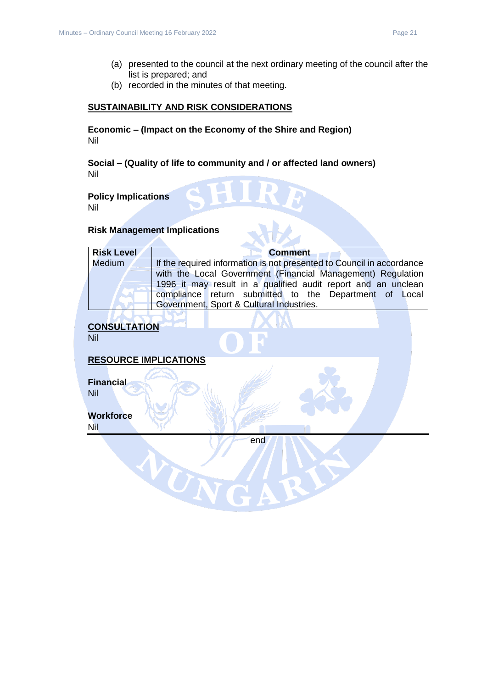- (a) presented to the council at the next ordinary meeting of the council after the list is prepared; and
- (b) recorded in the minutes of that meeting.

#### **SUSTAINABILITY AND RISK CONSIDERATIONS**

**Economic – (Impact on the Economy of the Shire and Region)** Nil

**Social – (Quality of life to community and / or affected land owners)** Nil

# **Policy Implications**

Nil

# **Risk Management Implications**

| <b>Risk Level</b> | <b>Comment</b>                                                        |
|-------------------|-----------------------------------------------------------------------|
| Medium            | If the required information is not presented to Council in accordance |
|                   | with the Local Government (Financial Management) Regulation           |
|                   | 1996 it may result in a qualified audit report and an unclean         |
|                   | compliance return submitted to the Department of Local                |
|                   | Government, Sport & Cultural Industries.                              |
|                   |                                                                       |

# **CONSULTATION**

Nil

#### **RESOURCE IMPLICATIONS**

WUN

**Financial** Nil

#### **Workforce**

Nil

end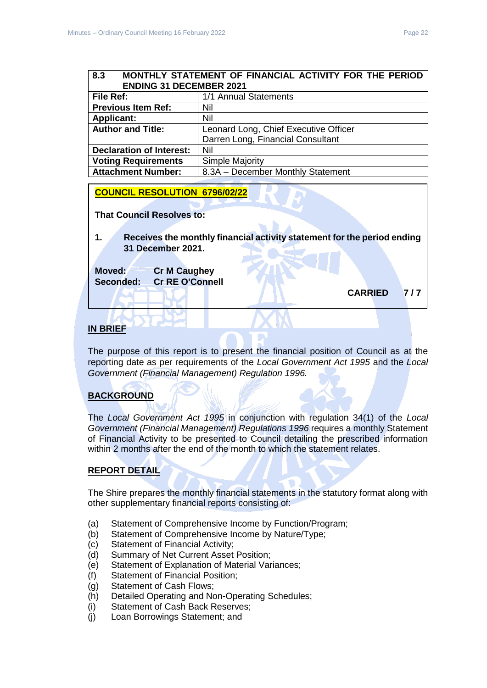#### <span id="page-21-0"></span>**8.3 MONTHLY STATEMENT OF FINANCIAL ACTIVITY FOR THE PERIOD ENDING 31 DECEMBER 2021**

| <b>File Ref:</b>                | 1/1 Annual Statements                 |
|---------------------------------|---------------------------------------|
| <b>Previous Item Ref:</b>       | Nil                                   |
| <b>Applicant:</b>               | Nil                                   |
| <b>Author and Title:</b>        | Leonard Long, Chief Executive Officer |
|                                 | Darren Long, Financial Consultant     |
| <b>Declaration of Interest:</b> | Nil                                   |
| <b>Voting Requirements</b>      | Simple Majority                       |
| <b>Attachment Number:</b>       | 8.3A - December Monthly Statement     |

#### **COUNCIL RESOLUTION 6796/02/22**

**That Council Resolves to:** 

**1. Receives the monthly financial activity statement for the period ending 31 December 2021.**

**Moved: Cr M Caughey Seconded: Cr RE O'Connell**

**CARRIED 7 / 7** 

# **IN BRIEF**

The purpose of this report is to present the financial position of Council as at the reporting date as per requirements of the *Local Government Act 1995* and the *Local Government (Financial Management) Regulation 1996.*

#### **BACKGROUND**

The *Local Government Act 1995* in conjunction with regulation 34(1) of the *Local Government (Financial Management) Regulations 1996* requires a monthly Statement of Financial Activity to be presented to Council detailing the prescribed information within 2 months after the end of the month to which the statement relates.

#### **REPORT DETAIL**

The Shire prepares the monthly financial statements in the statutory format along with other supplementary financial reports consisting of:

- (a) Statement of Comprehensive Income by Function/Program;
- (b) Statement of Comprehensive Income by Nature/Type;
- (c) Statement of Financial Activity;
- (d) Summary of Net Current Asset Position;
- (e) Statement of Explanation of Material Variances;
- (f) Statement of Financial Position;
- (g) Statement of Cash Flows;
- (h) Detailed Operating and Non-Operating Schedules;
- (i) Statement of Cash Back Reserves;
- (j) Loan Borrowings Statement; and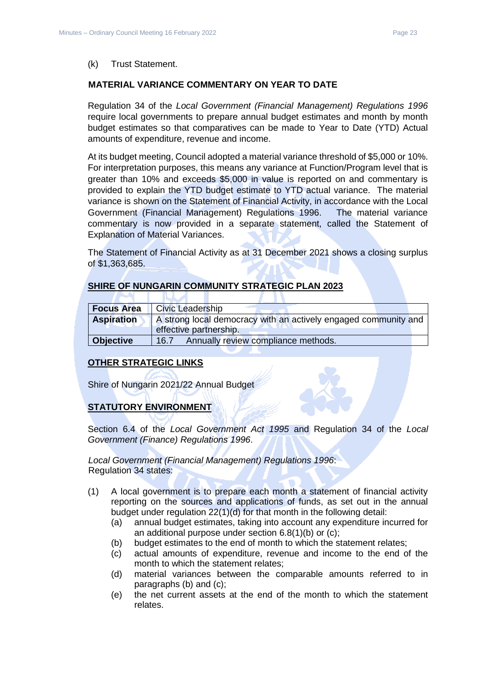#### (k) Trust Statement.

#### **MATERIAL VARIANCE COMMENTARY ON YEAR TO DATE**

Regulation 34 of the *Local Government (Financial Management) Regulations 1996*  require local governments to prepare annual budget estimates and month by month budget estimates so that comparatives can be made to Year to Date (YTD) Actual amounts of expenditure, revenue and income.

At its budget meeting, Council adopted a material variance threshold of \$5,000 or 10%. For interpretation purposes, this means any variance at Function/Program level that is greater than 10% and exceeds \$5,000 in value is reported on and commentary is provided to explain the YTD budget estimate to YTD actual variance. The material variance is shown on the Statement of Financial Activity, in accordance with the Local Government (Financial Management) Regulations 1996. The material variance commentary is now provided in a separate statement, called the Statement of Explanation of Material Variances.

The Statement of Financial Activity as at 31 December 2021 shows a closing surplus of \$1,363,685.

#### **SHIRE OF NUNGARIN COMMUNITY STRATEGIC PLAN 2023**

a pr

| <b>Focus Area</b> | <b>Civic Leadership</b>                                                                   |
|-------------------|-------------------------------------------------------------------------------------------|
| <b>Aspiration</b> | A strong local democracy with an actively engaged community and<br>effective partnership. |
| <b>Objective</b>  | Annually review compliance methods.<br>16.7                                               |

#### **OTHER STRATEGIC LINKS**

Shire of Nungarin 2021/22 Annual Budget

**INTERNATIONAL** 

#### **STATUTORY ENVIRONMENT**

Section 6.4 of the *Local Government Act 1995* and Regulation 34 of the *Local Government (Finance) Regulations 1996*.

*Local Government (Financial Management) Regulations 1996*: Regulation 34 states:

- (1) A local government is to prepare each month a statement of financial activity reporting on the sources and applications of funds, as set out in the annual budget under regulation 22(1)(d) for that month in the following detail:
	- (a) annual budget estimates, taking into account any expenditure incurred for an additional purpose under section 6.8(1)(b) or (c);
	- (b) budget estimates to the end of month to which the statement relates;
	- (c) actual amounts of expenditure, revenue and income to the end of the month to which the statement relates;
	- (d) material variances between the comparable amounts referred to in paragraphs (b) and (c);
	- (e) the net current assets at the end of the month to which the statement relates.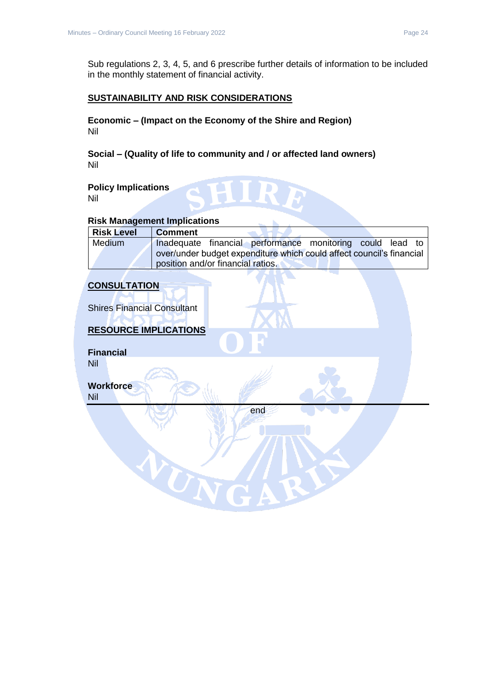Sub regulations 2, 3, 4, 5, and 6 prescribe further details of information to be included in the monthly statement of financial activity.

#### **SUSTAINABILITY AND RISK CONSIDERATIONS**

**Economic – (Impact on the Economy of the Shire and Region)** Nil

**Social – (Quality of life to community and / or affected land owners)** Nil

**Policy Implications** Nil

#### **Risk Management Implications**

| <b>Risk Level</b> | <b>Comment</b>                                                       |
|-------------------|----------------------------------------------------------------------|
| <b>Medium</b>     | Inadequate financial performance monitoring could lead to            |
|                   | over/under budget expenditure which could affect council's financial |
|                   | position and/or financial ratios.                                    |

# **CONSULTATION**

Shires Financial Consultant

# **RESOURCE IMPLICATIONS**

TON

**Financial** Nil

**Workforce** Nil

end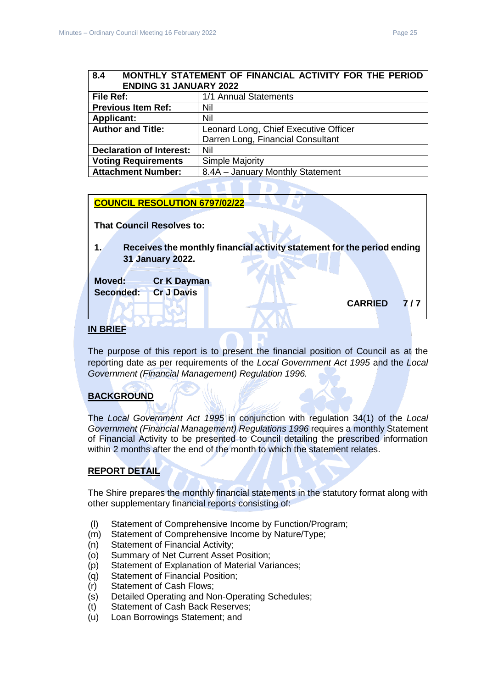<span id="page-24-0"></span>

| MONTHLY STATEMENT OF FINANCIAL ACTIVITY FOR THE PERIOD<br>8.4 |                                       |  |
|---------------------------------------------------------------|---------------------------------------|--|
| <b>ENDING 31 JANUARY 2022</b>                                 |                                       |  |
| File Ref:                                                     | 1/1 Annual Statements                 |  |
| <b>Previous Item Ref:</b>                                     | Nil                                   |  |
| <b>Applicant:</b>                                             | Nil                                   |  |
| <b>Author and Title:</b>                                      | Leonard Long, Chief Executive Officer |  |
|                                                               | Darren Long, Financial Consultant     |  |
| <b>Declaration of Interest:</b>                               | Nil                                   |  |
| <b>Voting Requirements</b>                                    | <b>Simple Majority</b>                |  |
| <b>Attachment Number:</b>                                     | 8.4A - January Monthly Statement      |  |

#### **COUNCIL RESOLUTION 6797/02/22**

**That Council Resolves to:** 

**1. Receives the monthly financial activity statement for the period ending 31 January 2022.**

**Moved: Cr K Dayman Seconded: Cr J Davis**

#### **IN BRIEF**

The purpose of this report is to present the financial position of Council as at the reporting date as per requirements of the *Local Government Act 1995* and the *Local Government (Financial Management) Regulation 1996.*

#### **BACKGROUND**

The *Local Government Act 1995* in conjunction with regulation 34(1) of the *Local Government (Financial Management) Regulations 1996* requires a monthly Statement of Financial Activity to be presented to Council detailing the prescribed information within 2 months after the end of the month to which the statement relates.

#### **REPORT DETAIL**

The Shire prepares the monthly financial statements in the statutory format along with other supplementary financial reports consisting of:

- (l) Statement of Comprehensive Income by Function/Program;
- (m) Statement of Comprehensive Income by Nature/Type;
- (n) Statement of Financial Activity;
- (o) Summary of Net Current Asset Position;
- (p) Statement of Explanation of Material Variances;
- (q) Statement of Financial Position;
- (r) Statement of Cash Flows;
- (s) Detailed Operating and Non-Operating Schedules;
- (t) Statement of Cash Back Reserves;
- (u) Loan Borrowings Statement; and

**CARRIED 7 / 7**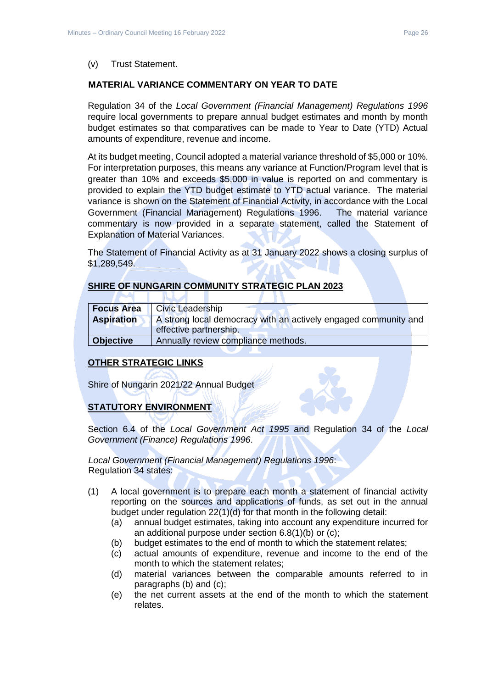#### (v) Trust Statement.

#### **MATERIAL VARIANCE COMMENTARY ON YEAR TO DATE**

Regulation 34 of the *Local Government (Financial Management) Regulations 1996*  require local governments to prepare annual budget estimates and month by month budget estimates so that comparatives can be made to Year to Date (YTD) Actual amounts of expenditure, revenue and income.

At its budget meeting, Council adopted a material variance threshold of \$5,000 or 10%. For interpretation purposes, this means any variance at Function/Program level that is greater than 10% and exceeds \$5,000 in value is reported on and commentary is provided to explain the YTD budget estimate to YTD actual variance. The material variance is shown on the Statement of Financial Activity, in accordance with the Local Government (Financial Management) Regulations 1996. The material variance commentary is now provided in a separate statement, called the Statement of Explanation of Material Variances.

The Statement of Financial Activity as at 31 January 2022 shows a closing surplus of \$1,289,549.

#### **SHIRE OF NUNGARIN COMMUNITY STRATEGIC PLAN 2023**

×

| <b>Focus Area</b> | <b>Civic Leadership</b>                                                                   |
|-------------------|-------------------------------------------------------------------------------------------|
| <b>Aspiration</b> | A strong local democracy with an actively engaged community and<br>effective partnership. |
| <b>Objective</b>  | Annually review compliance methods.                                                       |

#### **OTHER STRATEGIC LINKS**

Shire of Nungarin 2021/22 Annual Budget

**INTERNATIONAL** 

#### **STATUTORY ENVIRONMENT**

Section 6.4 of the *Local Government Act 1995* and Regulation 34 of the *Local Government (Finance) Regulations 1996*.

*Local Government (Financial Management) Regulations 1996*: Regulation 34 states:

- (1) A local government is to prepare each month a statement of financial activity reporting on the sources and applications of funds, as set out in the annual budget under regulation 22(1)(d) for that month in the following detail:
	- (a) annual budget estimates, taking into account any expenditure incurred for an additional purpose under section 6.8(1)(b) or (c);
	- (b) budget estimates to the end of month to which the statement relates;
	- (c) actual amounts of expenditure, revenue and income to the end of the month to which the statement relates;
	- (d) material variances between the comparable amounts referred to in paragraphs (b) and (c);
	- (e) the net current assets at the end of the month to which the statement relates.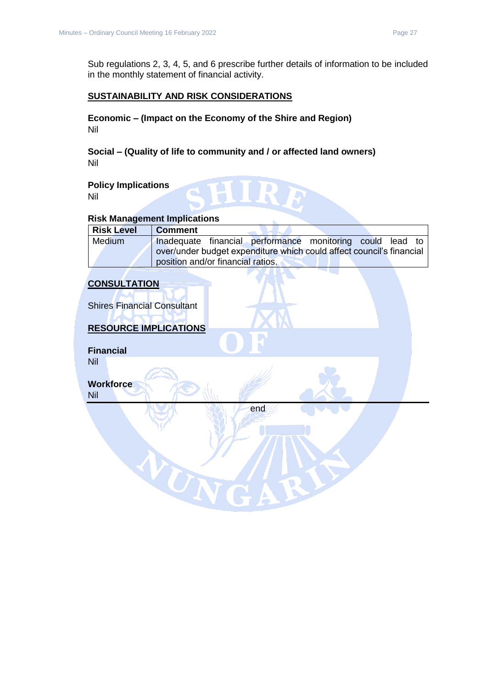Sub regulations 2, 3, 4, 5, and 6 prescribe further details of information to be included in the monthly statement of financial activity.

### **SUSTAINABILITY AND RISK CONSIDERATIONS**

**Economic – (Impact on the Economy of the Shire and Region)** Nil

**Social – (Quality of life to community and / or affected land owners)** Nil

**Policy Implications** Nil

#### **Risk Management Implications**

| <b>Risk Level</b> | <b>Comment</b>                                                       |
|-------------------|----------------------------------------------------------------------|
| Medium            | Inadequate financial performance monitoring could lead to            |
|                   | over/under budget expenditure which could affect council's financial |
|                   | position and/or financial ratios.                                    |

**CONSULTATION**

Shires Financial Consultant

# **RESOURCE IMPLICATIONS**

TON

**Financial** Nil

**Workforce** Nil

end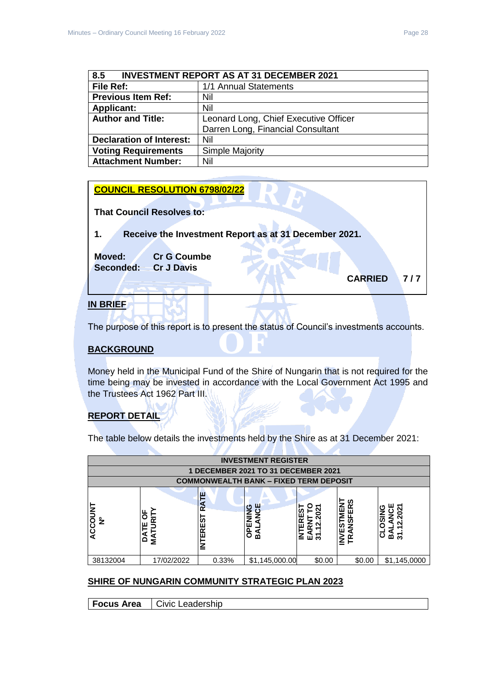<span id="page-27-0"></span>

| 8.5<br><b>INVESTMENT REPORT AS AT 31 DECEMBER 2021</b> |                                       |  |
|--------------------------------------------------------|---------------------------------------|--|
| File Ref:                                              | 1/1 Annual Statements                 |  |
| <b>Previous Item Ref:</b>                              | Nil                                   |  |
| <b>Applicant:</b>                                      | Nil                                   |  |
| <b>Author and Title:</b>                               | Leonard Long, Chief Executive Officer |  |
|                                                        | Darren Long, Financial Consultant     |  |
| <b>Declaration of Interest:</b>                        | Nil                                   |  |
| <b>Voting Requirements</b>                             | <b>Simple Majority</b>                |  |
| <b>Attachment Number:</b>                              | Nil                                   |  |

| <b>COUNCIL RESOLUTION 6798/02/22</b>                        |
|-------------------------------------------------------------|
| <b>That Council Resolves to:</b>                            |
| Receive the Investment Report as at 31 December 2021.<br>1. |
| <b>Moved:</b><br><b>Cr G Coumbe</b>                         |
| <b>Cr J Davis</b><br>Seconded:                              |
| <b>CARRIED</b><br>717                                       |
|                                                             |
| <b>DDI</b>                                                  |

#### **IN BRIEF**

The purpose of this report is to present the status of Council's investments accounts.

#### **BACKGROUND**

Money held in the Municipal Fund of the Shire of Nungarin that is not required for the time being may be invested in accordance with the Local Government Act 1995 and the Trustees Act 1962 Part III.

#### **REPORT DETAIL**

The table below details the investments held by the Shire as at 31 December 2021:

|                          | <b>INVESTMENT REGISTER</b> |                                        |                                                        |                                               |                                        |                           |
|--------------------------|----------------------------|----------------------------------------|--------------------------------------------------------|-----------------------------------------------|----------------------------------------|---------------------------|
|                          |                            |                                        | 1 DECEMBER 2021 TO 31 DECEMBER 2021                    |                                               |                                        |                           |
|                          |                            |                                        | <b>COMMONWEALTH BANK - FIXED TERM DEPOSIT</b>          |                                               |                                        |                           |
| ACCOUNT<br>$\frac{9}{2}$ | ŏ<br>≃<br>ш<br>⊢<br>δ<br>≨ | a<br>≃<br><b>S</b><br>ш<br>≃<br>ш<br>≧ | ш<br>ပ<br><b>ANC</b><br>≦<br>E<br>$\overline{6}$<br>ВA | O<br>്ട<br>ERES<br>Ñ<br>EARNT<br>31.12.2<br>눌 | <b>IVESTMENT</b><br>RANSFERS<br>F<br>≧ | 202<br>Ō.<br>ω<br>స్<br>≃ |
| 38132004                 | 17/02/2022                 | 0.33%                                  | \$1,145,000.00                                         | \$0.00                                        | \$0.00                                 | \$1,145,0000              |

#### **SHIRE OF NUNGARIN COMMUNITY STRATEGIC PLAN 2023**

**Focus Area** | Civic Leadership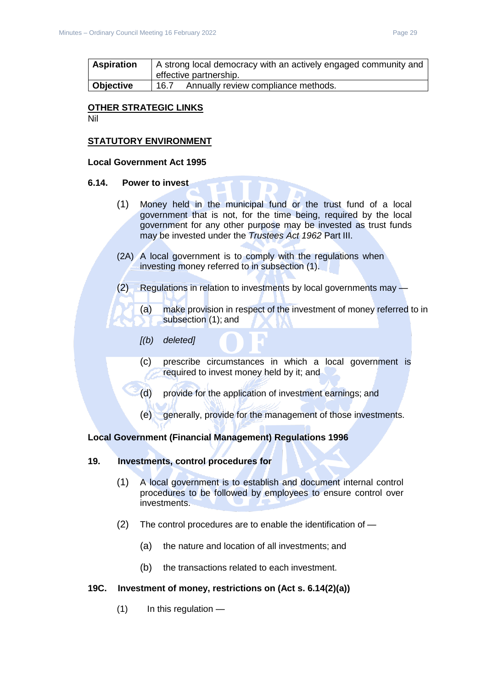| <b>Aspiration</b> | A strong local democracy with an actively engaged community and<br>effective partnership. |
|-------------------|-------------------------------------------------------------------------------------------|
| <b>Objective</b>  | Annually review compliance methods.<br>16.7                                               |

#### **OTHER STRATEGIC LINKS**

Nil

#### **STATUTORY ENVIRONMENT**

#### **Local Government Act 1995**

#### **6.14. Power to invest**

- (1) Money held in the municipal fund or the trust fund of a local government that is not, for the time being, required by the local government for any other purpose may be invested as trust funds may be invested under the *Trustees Act 1962* Part III.
- (2A) A local government is to comply with the regulations when investing money referred to in subsection (1).
- (2) Regulations in relation to investments by local governments may
	- (a) make provision in respect of the investment of money referred to in subsection (1); and
	- *[(b) deleted]*
	- (c) prescribe circumstances in which a local government is required to invest money held by it; and
	- (d) provide for the application of investment earnings; and
	- (e) generally, provide for the management of those investments.

#### **Local Government (Financial Management) Regulations 1996**

#### **19. Investments, control procedures for**

- (1) A local government is to establish and document internal control procedures to be followed by employees to ensure control over investments.
- (2) The control procedures are to enable the identification of
	- (a) the nature and location of all investments; and
	- (b) the transactions related to each investment.

#### **19C. Investment of money, restrictions on (Act s. 6.14(2)(a))**

(1) In this regulation —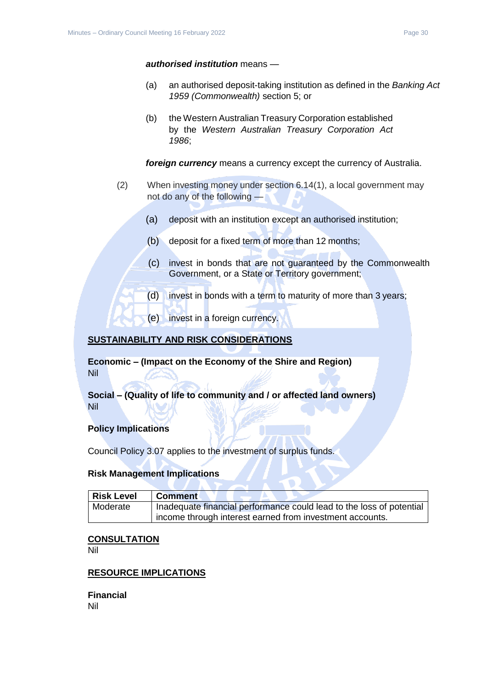#### *authorised institution* means —

- (a) an authorised deposit-taking institution as defined in the *Banking Act 1959 (Commonwealth)* section 5; or
- (b) the Western Australian Treasury Corporation established by the *Western Australian Treasury Corporation Act 1986*;

*foreign currency* means a currency except the currency of Australia.

- (2) When investing money under section 6.14(1), a local government may not do any of the following —
	- (a) deposit with an institution except an authorised institution;
	- (b) deposit for a fixed term of more than 12 months;
	- (c) invest in bonds that are not guaranteed by the Commonwealth Government, or a State or Territory government;
	- $(d)$  invest in bonds with a term to maturity of more than 3 years;
	- (e) invest in a foreign currency.

#### **SUSTAINABILITY AND RISK CONSIDERATIONS**

**Economic – (Impact on the Economy of the Shire and Region)** Nil

**Social – (Quality of life to community and / or affected land owners)** Nil

#### **Policy Implications**

Council Policy 3.07 applies to the investment of surplus funds.

#### **Risk Management Implications**

| Risk Level | <b>Comment</b>                                                       |
|------------|----------------------------------------------------------------------|
| Moderate   | Inadequate financial performance could lead to the loss of potential |
|            | income through interest earned from investment accounts.             |

#### **CONSULTATION**

Nil

#### **RESOURCE IMPLICATIONS**

**Financial** Nil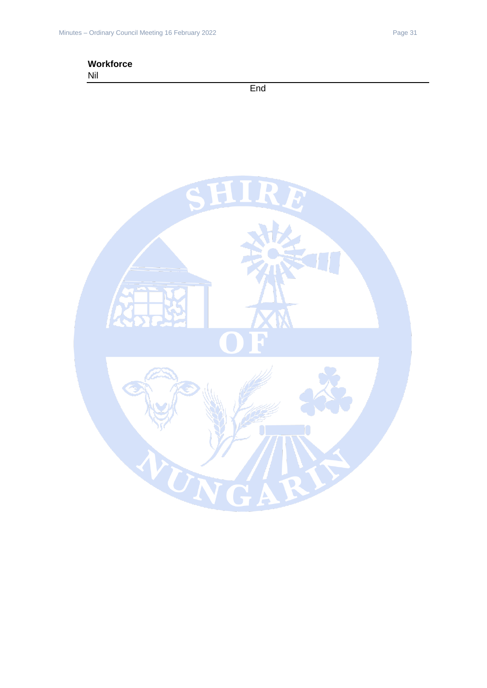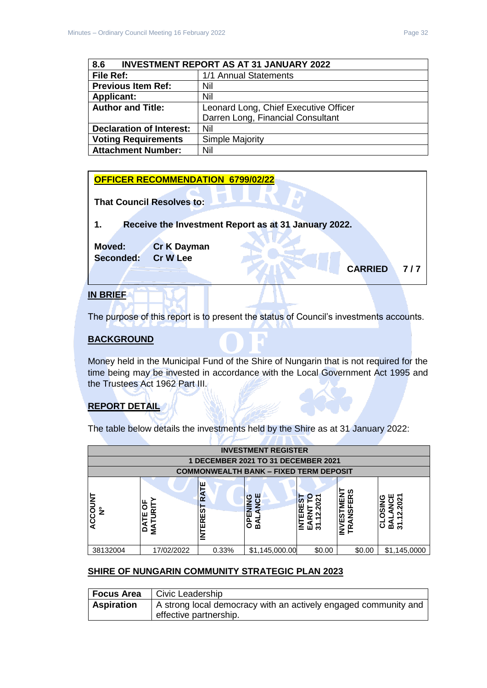<span id="page-31-0"></span>

| <b>INVESTMENT REPORT AS AT 31 JANUARY 2022</b><br>8.6 |                                       |  |
|-------------------------------------------------------|---------------------------------------|--|
| File Ref:                                             | 1/1 Annual Statements                 |  |
| <b>Previous Item Ref:</b>                             | Nil                                   |  |
| <b>Applicant:</b>                                     | Nil                                   |  |
| <b>Author and Title:</b>                              | Leonard Long, Chief Executive Officer |  |
|                                                       | Darren Long, Financial Consultant     |  |
| <b>Declaration of Interest:</b>                       | Nil                                   |  |
| <b>Voting Requirements</b>                            | <b>Simple Majority</b>                |  |
| <b>Attachment Number:</b>                             | Nil                                   |  |



#### **IN BRIEF**

The purpose of this report is to present the status of Council's investments accounts.

#### **BACKGROUND**

Money held in the Municipal Fund of the Shire of Nungarin that is not required for the time being may be invested in accordance with the Local Government Act 1995 and the Trustees Act 1962 Part III.

# **REPORT DETAIL**

The table below details the investments held by the Shire as at 31 January 2022:

**Y** 

| <b>INVESTMENT REGISTER</b>                                                                                                                                                                                                                                                                                                                                                                                                      |            |       |                                     |        |        |              |
|---------------------------------------------------------------------------------------------------------------------------------------------------------------------------------------------------------------------------------------------------------------------------------------------------------------------------------------------------------------------------------------------------------------------------------|------------|-------|-------------------------------------|--------|--------|--------------|
|                                                                                                                                                                                                                                                                                                                                                                                                                                 |            |       | 1 DECEMBER 2021 TO 31 DECEMBER 2021 |        |        |              |
|                                                                                                                                                                                                                                                                                                                                                                                                                                 |            |       |                                     |        |        |              |
| <b>COMMONWEALTH BANK - FIXED TERM DEPOSIT</b><br>ш<br><b>INVESTMENT</b><br>ທ<br>2<br>R<br>ANCE<br>ËŘ<br><b>ACCOUNT</b><br>ග<br>$\bullet$<br><u>รา</u><br>ES<br>Ñ<br>ENIN3<br>ட<br>−<br>с<br>ິ<br>ວິ<br>ন<br>ົ<br>5<br>īz<br>ARNT<br>$\frac{9}{2}$<br><b>INTER</b><br><b>QNSI</b><br>٩<br>$\mathbf{\tilde{N}}$<br>ш<br>ш<br>8 <sub>D</sub><br>$\alpha$<br>∢<br>ー<br>σ<br>ಠ<br>స్<br>മ്<br>ш<br>స్<br>m<br>FR<br>≨<br>ш<br>≏<br>호 |            |       |                                     |        |        |              |
| 38132004                                                                                                                                                                                                                                                                                                                                                                                                                        | 17/02/2022 | 0.33% | \$1,145,000.00                      | \$0.00 | \$0.00 | \$1,145,0000 |

#### **SHIRE OF NUNGARIN COMMUNITY STRATEGIC PLAN 2023**

| <b>Focus Area</b> | Civic Leadership                                                |
|-------------------|-----------------------------------------------------------------|
| <b>Aspiration</b> | A strong local democracy with an actively engaged community and |
|                   | effective partnership.                                          |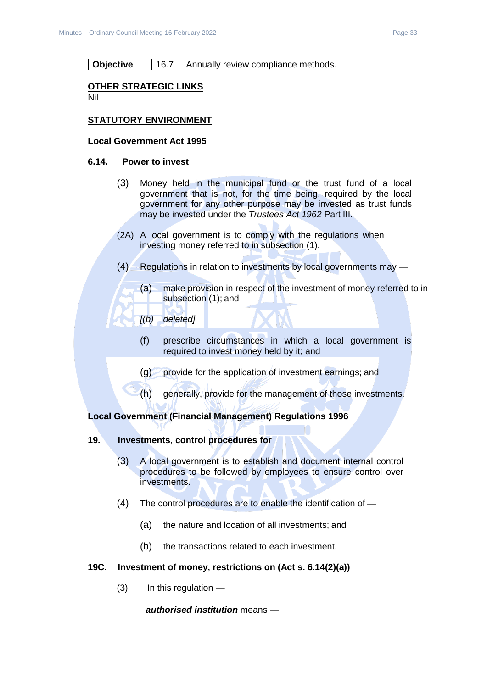#### **Objective** 16.7 Annually review compliance methods.

#### **OTHER STRATEGIC LINKS**

Nil

#### **STATUTORY ENVIRONMENT**

#### **Local Government Act 1995**

#### **6.14. Power to invest**

- (3) Money held in the municipal fund or the trust fund of a local government that is not, for the time being, required by the local government for any other purpose may be invested as trust funds may be invested under the *Trustees Act 1962* Part III.
- (2A) A local government is to comply with the regulations when investing money referred to in subsection (1).
- (4) Regulations in relation to investments by local governments may
	- (a) make provision in respect of the investment of money referred to in subsection (1); and
	- *[(b) deleted]*
		- (f) prescribe circumstances in which a local government is required to invest money held by it; and
		- (g) provide for the application of investment earnings; and
		- (h) generally, provide for the management of those investments.

#### **Local Government (Financial Management) Regulations 1996**

#### **19. Investments, control procedures for**

- (3) A local government is to establish and document internal control procedures to be followed by employees to ensure control over investments.
- (4) The control procedures are to enable the identification of
	- (a) the nature and location of all investments; and
	- (b) the transactions related to each investment.

#### **19C. Investment of money, restrictions on (Act s. 6.14(2)(a))**

(3) In this regulation —

*authorised institution* means —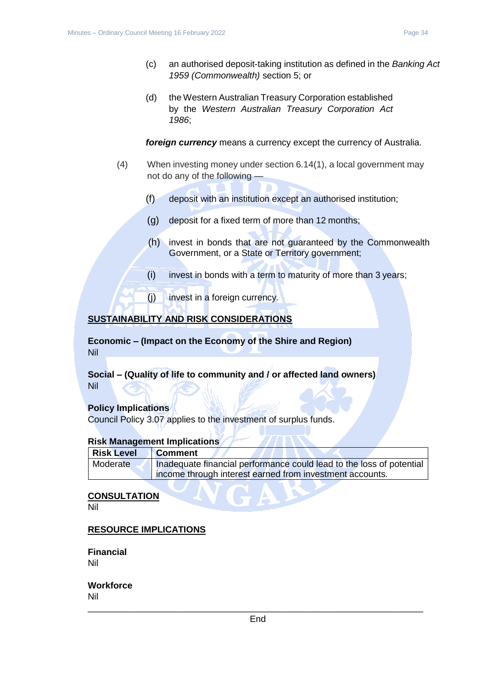- (c) an authorised deposit-taking institution as defined in the *Banking Act 1959 (Commonwealth)* section 5; or
- (d) the Western Australian Treasury Corporation established by the *Western Australian Treasury Corporation Act 1986*;

*foreign currency* means a currency except the currency of Australia.

- (4) When investing money under section 6.14(1), a local government may not do any of the following —
	- (f) deposit with an institution except an authorised institution;
	- (g) deposit for a fixed term of more than 12 months;
	- (h) invest in bonds that are not guaranteed by the Commonwealth Government, or a State or Territory government;
	- (i) invest in bonds with a term to maturity of more than 3 years;
	- (j) invest in a foreign currency.

# **SUSTAINABILITY AND RISK CONSIDERATIONS**

**Economic – (Impact on the Economy of the Shire and Region)** Nil

**Social – (Quality of life to community and / or affected land owners)** Nil

#### **Policy Implications**

Council Policy 3.07 applies to the investment of surplus funds.

#### **Risk Management Implications**

| Risk Level | <b>Comment</b>                                                       |
|------------|----------------------------------------------------------------------|
| Moderate   | Inadequate financial performance could lead to the loss of potential |
|            | income through interest earned from investment accounts.             |

#### **CONSULTATION**

Nil

#### **RESOURCE IMPLICATIONS**

**Financial** Nil

**Workforce** Nil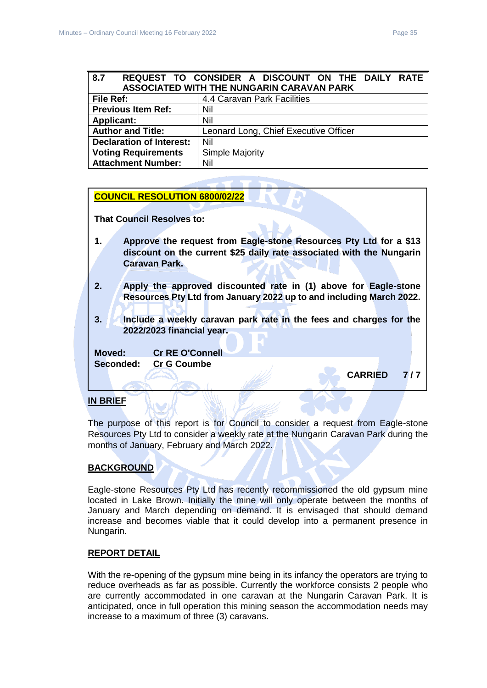<span id="page-34-0"></span>

| 8.7                             | REQUEST TO CONSIDER A DISCOUNT ON THE DAILY RATE<br><b>ASSOCIATED WITH THE NUNGARIN CARAVAN PARK</b> |
|---------------------------------|------------------------------------------------------------------------------------------------------|
| File Ref:                       | 4.4 Caravan Park Facilities                                                                          |
| <b>Previous Item Ref:</b>       | Nil                                                                                                  |
| <b>Applicant:</b>               | Nil                                                                                                  |
| <b>Author and Title:</b>        | Leonard Long, Chief Executive Officer                                                                |
| <b>Declaration of Interest:</b> | Nil                                                                                                  |
| <b>Voting Requirements</b>      | <b>Simple Majority</b>                                                                               |
| <b>Attachment Number:</b>       | Nil                                                                                                  |

#### **COUNCIL RESOLUTION 6800/02/22**

**That Council Resolves to:** 

- **1. Approve the request from Eagle-stone Resources Pty Ltd for a \$13 discount on the current \$25 daily rate associated with the Nungarin Caravan Park.**
- **2. Apply the approved discounted rate in (1) above for Eagle-stone Resources Pty Ltd from January 2022 up to and including March 2022.**
- **3. Include a weekly caravan park rate in the fees and charges for the 2022/2023 financial year.**

**Moved: Cr RE O'Connell Seconded: Cr G Coumbe**

**CARRIED 7 / 7** 

#### **IN BRIEF**

The purpose of this report is for Council to consider a request from Eagle-stone Resources Pty Ltd to consider a weekly rate at the Nungarin Caravan Park during the months of January, February and March 2022.

#### **BACKGROUND**

Eagle-stone Resources Pty Ltd has recently recommissioned the old gypsum mine located in Lake Brown. Initially the mine will only operate between the months of January and March depending on demand. It is envisaged that should demand increase and becomes viable that it could develop into a permanent presence in Nungarin.

#### **REPORT DETAIL**

With the re-opening of the gypsum mine being in its infancy the operators are trying to reduce overheads as far as possible. Currently the workforce consists 2 people who are currently accommodated in one caravan at the Nungarin Caravan Park. It is anticipated, once in full operation this mining season the accommodation needs may increase to a maximum of three (3) caravans.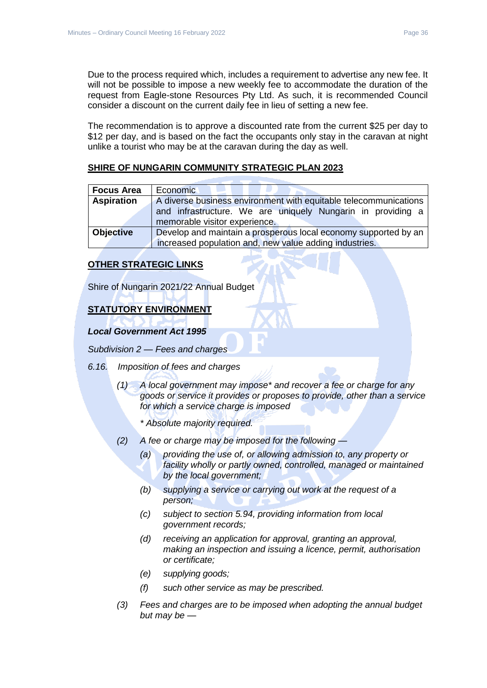Due to the process required which, includes a requirement to advertise any new fee. It will not be possible to impose a new weekly fee to accommodate the duration of the request from Eagle-stone Resources Pty Ltd. As such, it is recommended Council consider a discount on the current daily fee in lieu of setting a new fee.

The recommendation is to approve a discounted rate from the current \$25 per day to \$12 per day, and is based on the fact the occupants only stay in the caravan at night unlike a tourist who may be at the caravan during the day as well.

### **SHIRE OF NUNGARIN COMMUNITY STRATEGIC PLAN 2023**

| <b>Focus Area</b> | Economic                                                         |  |
|-------------------|------------------------------------------------------------------|--|
| <b>Aspiration</b> | A diverse business environment with equitable telecommunications |  |
|                   | and infrastructure. We are uniquely Nungarin in providing a      |  |
|                   | memorable visitor experience.                                    |  |
| <b>Objective</b>  | Develop and maintain a prosperous local economy supported by an  |  |
|                   | increased population and, new value adding industries.           |  |

#### **OTHER STRATEGIC LINKS**

Shire of Nungarin 2021/22 Annual Budget

# **STATUTORY ENVIRONMENT**

#### *Local Government Act 1995*

*Subdivision 2 — Fees and charges*

- *6.16. Imposition of fees and charges*
	- *(1) A local government may impose\* and recover a fee or charge for any goods or service it provides or proposes to provide, other than a service for which a service charge is imposed*
		- *\* Absolute majority required.*
	- *(2) A fee or charge may be imposed for the following —*
		- *(a) providing the use of, or allowing admission to, any property or facility wholly or partly owned, controlled, managed or maintained by the local government;*
		- *(b) supplying a service or carrying out work at the request of a person;*
		- *(c) subject to section 5.94, providing information from local government records;*
		- *(d) receiving an application for approval, granting an approval, making an inspection and issuing a licence, permit, authorisation or certificate;*
		- *(e) supplying goods;*
		- *(f) such other service as may be prescribed.*
	- *(3) Fees and charges are to be imposed when adopting the annual budget but may be —*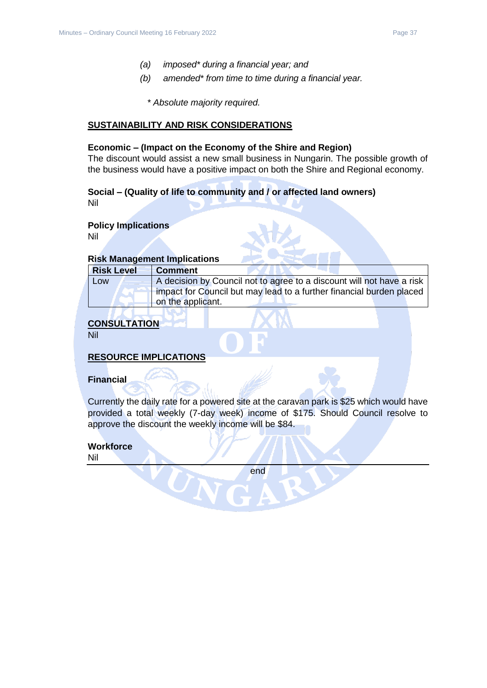- *(a) imposed\* during a financial year; and*
- *(b) amended\* from time to time during a financial year.*
	- *\* Absolute majority required.*

#### **SUSTAINABILITY AND RISK CONSIDERATIONS**

#### **Economic – (Impact on the Economy of the Shire and Region)**

The discount would assist a new small business in Nungarin. The possible growth of the business would have a positive impact on both the Shire and Regional economy.

#### **Social – (Quality of life to community and / or affected land owners)** Nil

**Policy Implications**

Nil

# **Risk Management Implications**

| <b>Risk Level</b> | <b>Comment</b>                                                        |  |
|-------------------|-----------------------------------------------------------------------|--|
| Low               | A decision by Council not to agree to a discount will not have a risk |  |
|                   | impact for Council but may lead to a further financial burden placed  |  |
|                   | on the applicant.                                                     |  |

# **CONSULTATION**

Nil

#### **RESOURCE IMPLICATIONS**

#### **Financial**

Currently the daily rate for a powered site at the caravan park is \$25 which would have provided a total weekly (7-day week) income of \$175. Should Council resolve to approve the discount the weekly income will be \$84.

# **Workforce**

Nil

end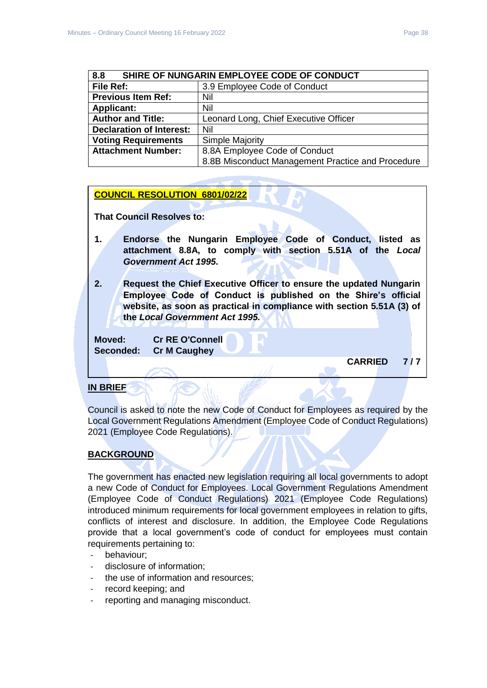<span id="page-37-0"></span>

| SHIRE OF NUNGARIN EMPLOYEE CODE OF CONDUCT<br>8.8 |                                                   |
|---------------------------------------------------|---------------------------------------------------|
| File Ref:                                         | 3.9 Employee Code of Conduct                      |
| <b>Previous Item Ref:</b>                         | Nil                                               |
| <b>Applicant:</b>                                 | Nil                                               |
| <b>Author and Title:</b>                          | Leonard Long, Chief Executive Officer             |
| <b>Declaration of Interest:</b>                   | Nil                                               |
| <b>Voting Requirements</b>                        | <b>Simple Majority</b>                            |
| <b>Attachment Number:</b>                         | 8.8A Employee Code of Conduct                     |
|                                                   | 8.8B Misconduct Management Practice and Procedure |

# **COUNCIL RESOLUTION 6801/02/22**

**That Council Resolves to:** 

- **1. Endorse the Nungarin Employee Code of Conduct, listed as attachment 8.8A, to comply with section 5.51A of the** *Local Government Act 1995***.**
- **2. Request the Chief Executive Officer to ensure the updated Nungarin Employee Code of Conduct is published on the Shire's official website, as soon as practical in compliance with section 5.51A (3) of the** *Local Government Act 1995.*

**Moved: Cr RE O'Connell Seconded: Cr M Caughey**

**CARRIED 7 / 7** 

# **IN BRIEF**

Council is asked to note the new Code of Conduct for Employees as required by the Local Government Regulations Amendment (Employee Code of Conduct Regulations) 2021 (Employee Code Regulations).

# **BACKGROUND**

The government has enacted new legislation requiring all local governments to adopt a new Code of Conduct for Employees. Local Government Regulations Amendment (Employee Code of Conduct Regulations) 2021 (Employee Code Regulations) introduced minimum requirements for local government employees in relation to gifts, conflicts of interest and disclosure. In addition, the Employee Code Regulations provide that a local government's code of conduct for employees must contain requirements pertaining to:

- behaviour:
- disclosure of information;
- the use of information and resources;
- record keeping; and
- reporting and managing misconduct.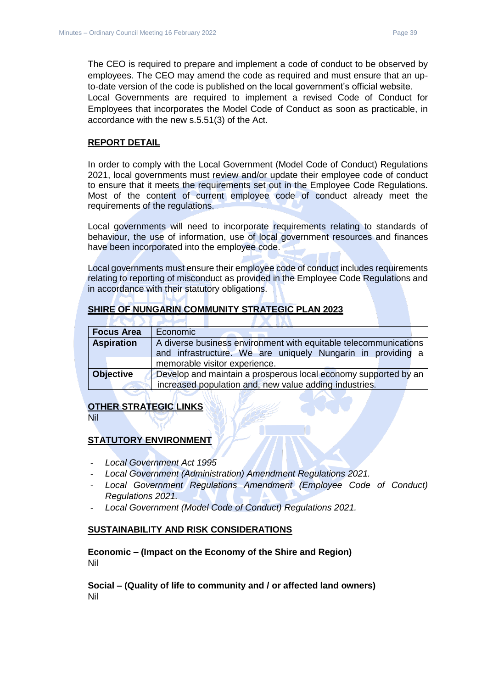The CEO is required to prepare and implement a code of conduct to be observed by employees. The CEO may amend the code as required and must ensure that an upto-date version of the code is published on the local government's official website. Local Governments are required to implement a revised Code of Conduct for Employees that incorporates the Model Code of Conduct as soon as practicable, in accordance with the new s.5.51(3) of the Act.

#### **REPORT DETAIL**

In order to comply with the Local Government (Model Code of Conduct) Regulations 2021, local governments must review and/or update their employee code of conduct to ensure that it meets the requirements set out in the Employee Code Regulations. Most of the content of current employee code of conduct already meet the requirements of the regulations.

Local governments will need to incorporate requirements relating to standards of behaviour, the use of information, use of local government resources and finances have been incorporated into the employee code.

Local governments must ensure their employee code of conduct includes requirements relating to reporting of misconduct as provided in the Employee Code Regulations and in accordance with their statutory obligations.

#### **SHIRE OF NUNGARIN COMMUNITY STRATEGIC PLAN 2023**

| <b>Focus Area</b> | Economic                                                         |  |
|-------------------|------------------------------------------------------------------|--|
| <b>Aspiration</b> | A diverse business environment with equitable telecommunications |  |
|                   | and infrastructure. We are uniquely Nungarin in providing a      |  |
|                   | memorable visitor experience.                                    |  |
| <b>Objective</b>  | Develop and maintain a prosperous local economy supported by an  |  |
|                   | increased population and, new value adding industries.           |  |

#### **OTHER STRATEGIC LINKS**

Nil

#### **STATUTORY ENVIRONMENT**

- *Local Government Act 1995*
- *Local Government (Administration) Amendment Regulations 2021.*
- Local Government Regulations Amendment (Employee Code of Conduct) *Regulations 2021.*
- *Local Government (Model Code of Conduct) Regulations 2021.*

#### **SUSTAINABILITY AND RISK CONSIDERATIONS**

**Economic – (Impact on the Economy of the Shire and Region)** Nil

**Social – (Quality of life to community and / or affected land owners)** Nil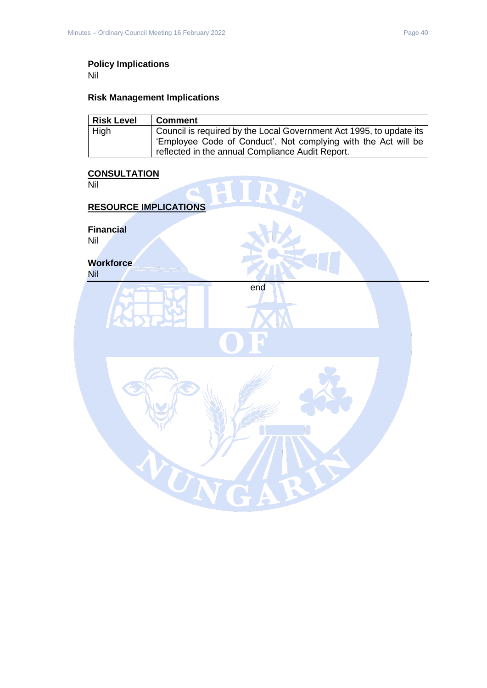# **Policy Implications**

Nil

# **Risk Management Implications**

| <b>Risk Level</b> | l Comment                                                           |
|-------------------|---------------------------------------------------------------------|
| . High            | Council is required by the Local Government Act 1995, to update its |
|                   | 'Employee Code of Conduct'. Not complying with the Act will be      |
|                   | reflected in the annual Compliance Audit Report.                    |

# **CONSULTATION**

| Nil<br>a.                    |  |
|------------------------------|--|
| <b>RESOURCE IMPLICATIONS</b> |  |
| <b>Financial</b><br>Nil      |  |
| <b>Workforce</b><br>Nil      |  |
| end                          |  |
| r i                          |  |
|                              |  |
|                              |  |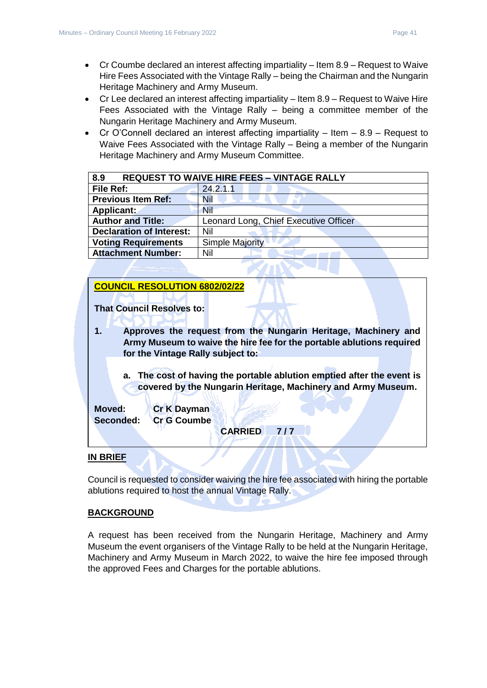- Cr Coumbe declared an interest affecting impartiality Item 8.9 Request to Waive Hire Fees Associated with the Vintage Rally – being the Chairman and the Nungarin Heritage Machinery and Army Museum.
- Cr Lee declared an interest affecting impartiality Item 8.9 Request to Waive Hire Fees Associated with the Vintage Rally – being a committee member of the Nungarin Heritage Machinery and Army Museum.
- Cr O'Connell declared an interest affecting impartiality Item 8.9 Request to Waive Fees Associated with the Vintage Rally – Being a member of the Nungarin Heritage Machinery and Army Museum Committee.

<span id="page-40-0"></span>

| 8.9<br><b>REQUEST TO WAIVE HIRE FEES - VINTAGE RALLY</b> |                                       |
|----------------------------------------------------------|---------------------------------------|
| File Ref:                                                | 24.2.1.1                              |
| <b>Previous Item Ref:</b>                                | Nil                                   |
| Applicant:                                               | <b>Nil</b>                            |
| <b>Author and Title:</b>                                 | Leonard Long, Chief Executive Officer |
| <b>Declaration of Interest:</b>                          | Nil                                   |
| <b>Voting Requirements</b>                               | <b>Simple Majority</b>                |
| <b>Attachment Number:</b>                                | Nil                                   |

# **COUNCIL RESOLUTION 6802/02/22**

**That Council Resolves to:** 

- **1. Approves the request from the Nungarin Heritage, Machinery and Army Museum to waive the hire fee for the portable ablutions required for the Vintage Rally subject to:**
	- **a. The cost of having the portable ablution emptied after the event is covered by the Nungarin Heritage, Machinery and Army Museum.**

**Moved: Cr K Dayman Seconded: Cr G Coumbe**

**CARRIED 7 / 7** 

#### **IN BRIEF**

Council is requested to consider waiving the hire fee associated with hiring the portable ablutions required to host the annual Vintage Rally.

#### **BACKGROUND**

A request has been received from the Nungarin Heritage, Machinery and Army Museum the event organisers of the Vintage Rally to be held at the Nungarin Heritage, Machinery and Army Museum in March 2022, to waive the hire fee imposed through the approved Fees and Charges for the portable ablutions.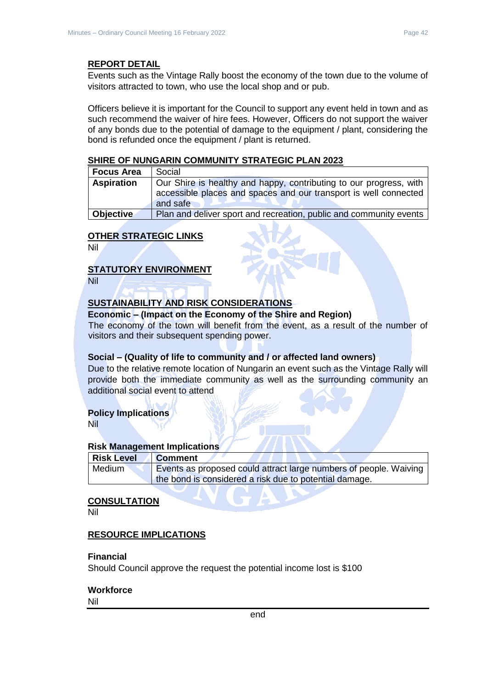Events such as the Vintage Rally boost the economy of the town due to the volume of visitors attracted to town, who use the local shop and or pub.

Officers believe it is important for the Council to support any event held in town and as such recommend the waiver of hire fees. However, Officers do not support the waiver of any bonds due to the potential of damage to the equipment / plant, considering the bond is refunded once the equipment / plant is returned.

#### **SHIRE OF NUNGARIN COMMUNITY STRATEGIC PLAN 2023**

| <b>Focus Area</b> | Social                                                             |
|-------------------|--------------------------------------------------------------------|
| <b>Aspiration</b> | Our Shire is healthy and happy, contributing to our progress, with |
|                   | accessible places and spaces and our transport is well connected   |
|                   | and safe                                                           |
| <b>Objective</b>  | Plan and deliver sport and recreation, public and community events |

#### **OTHER STRATEGIC LINKS**

Nil

# **STATUTORY ENVIRONMENT**

Nil

# **SUSTAINABILITY AND RISK CONSIDERATIONS**

#### **Economic – (Impact on the Economy of the Shire and Region)**

The economy of the town will benefit from the event, as a result of the number of visitors and their subsequent spending power.

#### **Social – (Quality of life to community and / or affected land owners)**

Due to the relative remote location of Nungarin an event such as the Vintage Rally will provide both the immediate community as well as the surrounding community an additional social event to attend

#### **Policy Implications**

Nil

#### **Risk Management Implications**

| <b>Risk Level</b> | <b>Comment</b>                                                    |
|-------------------|-------------------------------------------------------------------|
| Medium            | Events as proposed could attract large numbers of people. Waiving |
|                   | the bond is considered a risk due to potential damage.            |

# **CONSULTATION**

Nil

#### **RESOURCE IMPLICATIONS**

#### **Financial**

Should Council approve the request the potential income lost is \$100

#### **Workforce**

Nil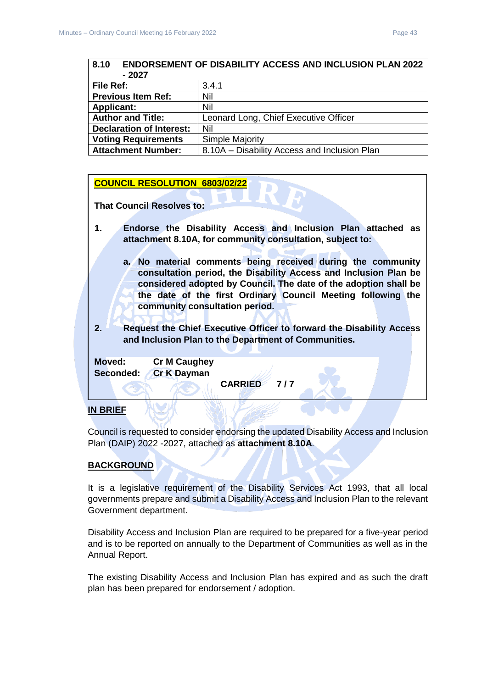<span id="page-42-0"></span>

| <b>ENDORSEMENT OF DISABILITY ACCESS AND INCLUSION PLAN 2022</b><br>8.10 |                                              |  |
|-------------------------------------------------------------------------|----------------------------------------------|--|
| - 2027                                                                  |                                              |  |
| File Ref:                                                               | 3.4.1                                        |  |
| <b>Previous Item Ref:</b>                                               | Nil                                          |  |
| <b>Applicant:</b>                                                       | Nil                                          |  |
| <b>Author and Title:</b>                                                | Leonard Long, Chief Executive Officer        |  |
| <b>Declaration of Interest:</b>                                         | Nil                                          |  |
| <b>Voting Requirements</b>                                              | <b>Simple Majority</b>                       |  |
| <b>Attachment Number:</b>                                               | 8.10A - Disability Access and Inclusion Plan |  |

#### **COUNCIL RESOLUTION 6803/02/22**

**That Council Resolves to:** 

- **1. Endorse the Disability Access and Inclusion Plan attached as attachment 8.10A, for community consultation, subject to:**
	- **a. No material comments being received during the community consultation period, the Disability Access and Inclusion Plan be considered adopted by Council. The date of the adoption shall be the date of the first Ordinary Council Meeting following the community consultation period.**
- **2. Request the Chief Executive Officer to forward the Disability Access and Inclusion Plan to the Department of Communities.**

**Moved: Cr M Caughey Seconded: Cr K Dayman**

**CARRIED 7 / 7** 

#### **IN BRIEF**

Council is requested to consider endorsing the updated Disability Access and Inclusion Plan (DAIP) 2022 -2027, attached as **attachment 8.10A**.

#### **BACKGROUND**

It is a legislative requirement of the Disability Services Act 1993, that all local governments prepare and submit a Disability Access and Inclusion Plan to the relevant Government department.

Disability Access and Inclusion Plan are required to be prepared for a five-year period and is to be reported on annually to the Department of Communities as well as in the Annual Report.

The existing Disability Access and Inclusion Plan has expired and as such the draft plan has been prepared for endorsement / adoption.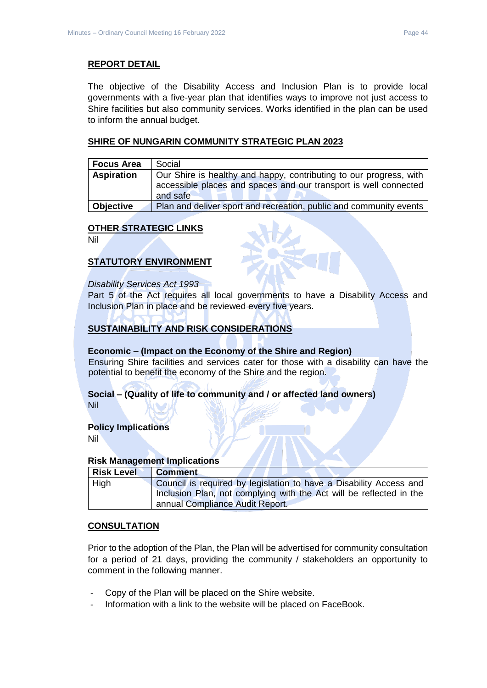#### **REPORT DETAIL**

The objective of the Disability Access and Inclusion Plan is to provide local governments with a five-year plan that identifies ways to improve not just access to Shire facilities but also community services. Works identified in the plan can be used to inform the annual budget.

#### **SHIRE OF NUNGARIN COMMUNITY STRATEGIC PLAN 2023**

| <b>Focus Area</b> | Social                                                             |
|-------------------|--------------------------------------------------------------------|
| <b>Aspiration</b> | Our Shire is healthy and happy, contributing to our progress, with |
|                   | accessible places and spaces and our transport is well connected   |
|                   | and safe                                                           |
| <b>Objective</b>  | Plan and deliver sport and recreation, public and community events |

#### **OTHER STRATEGIC LINKS**

Nil

# **STATUTORY ENVIRONMENT**

#### *Disability Services Act 1993*

Part 5 of the Act requires all local governments to have a Disability Access and Inclusion Plan in place and be reviewed every five years.

#### **SUSTAINABILITY AND RISK CONSIDERATIONS**

#### **Economic – (Impact on the Economy of the Shire and Region)**

Ensuring Shire facilities and services cater for those with a disability can have the potential to benefit the economy of the Shire and the region.

#### **Social – (Quality of life to community and / or affected land owners)** Nil

#### **Policy Implications**

Nil

#### **Risk Management Implications**

| <b>Risk Level</b> | Comment                                                             |
|-------------------|---------------------------------------------------------------------|
| High              | Council is required by legislation to have a Disability Access and  |
|                   | Inclusion Plan, not complying with the Act will be reflected in the |
|                   | annual Compliance Audit Report.                                     |

#### **CONSULTATION**

Prior to the adoption of the Plan, the Plan will be advertised for community consultation for a period of 21 days, providing the community / stakeholders an opportunity to comment in the following manner.

- Copy of the Plan will be placed on the Shire website.
- Information with a link to the website will be placed on FaceBook.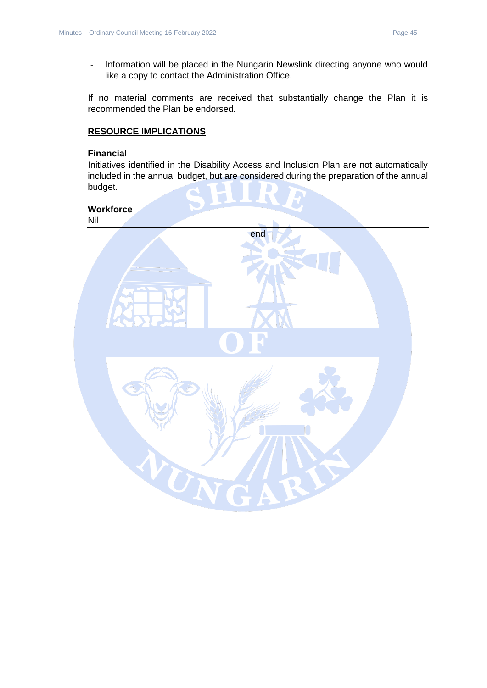- Information will be placed in the Nungarin Newslink directing anyone who would like a copy to contact the Administration Office.

If no material comments are received that substantially change the Plan it is recommended the Plan be endorsed.

#### **RESOURCE IMPLICATIONS**

#### **Financial**

Initiatives identified in the Disability Access and Inclusion Plan are not automatically included in the annual budget, but are considered during the preparation of the annual budget.

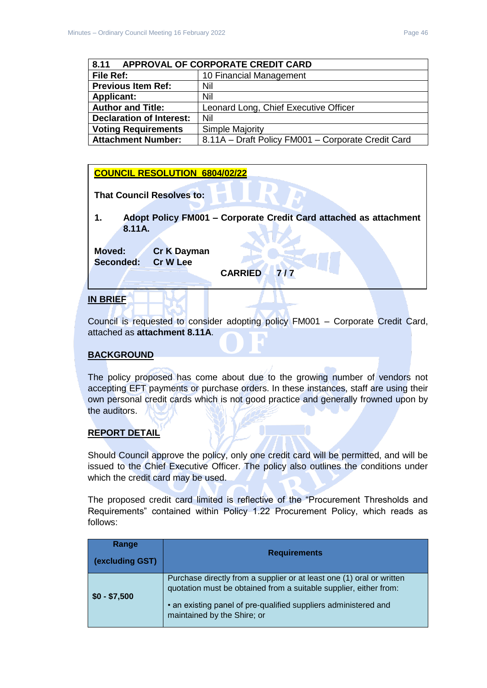<span id="page-45-0"></span>

| <b>APPROVAL OF CORPORATE CREDIT CARD</b><br>8.11 |                                                    |  |
|--------------------------------------------------|----------------------------------------------------|--|
| File Ref:                                        | 10 Financial Management                            |  |
| <b>Previous Item Ref:</b>                        | Nil                                                |  |
| <b>Applicant:</b>                                | Nil                                                |  |
| <b>Author and Title:</b>                         | Leonard Long, Chief Executive Officer              |  |
| <b>Declaration of Interest:</b>                  | Nil                                                |  |
| <b>Voting Requirements</b>                       | <b>Simple Majority</b>                             |  |
| <b>Attachment Number:</b>                        | 8.11A - Draft Policy FM001 - Corporate Credit Card |  |

# **COUNCIL RESOLUTION 6804/02/22**

**That Council Resolves to:** 

**1. Adopt Policy FM001 – Corporate Credit Card attached as attachment 8.11A.**

**Moved: Cr K Dayman Seconded: Cr W Lee**

**CARRIED 7 / 7** 

#### **IN BRIEF**

Council is requested to consider adopting policy FM001 – Corporate Credit Card, attached as **attachment 8.11A**.

# **BACKGROUND**

The policy proposed has come about due to the growing number of vendors not accepting EFT payments or purchase orders. In these instances, staff are using their own personal credit cards which is not good practice and generally frowned upon by the auditors.

# **REPORT DETAIL**

Should Council approve the policy, only one credit card will be permitted, and will be issued to the Chief Executive Officer. The policy also outlines the conditions under which the credit card may be used.

The proposed credit card limited is reflective of the "Procurement Thresholds and Requirements" contained within Policy 1.22 Procurement Policy, which reads as follows:

| Range<br>(excluding GST) | <b>Requirements</b>                                                                                                                                                                                                                          |
|--------------------------|----------------------------------------------------------------------------------------------------------------------------------------------------------------------------------------------------------------------------------------------|
| $\vert$ \$0 - \$7,500    | Purchase directly from a supplier or at least one (1) oral or written<br>quotation must be obtained from a suitable supplier, either from:<br>• an existing panel of pre-qualified suppliers administered and<br>maintained by the Shire; or |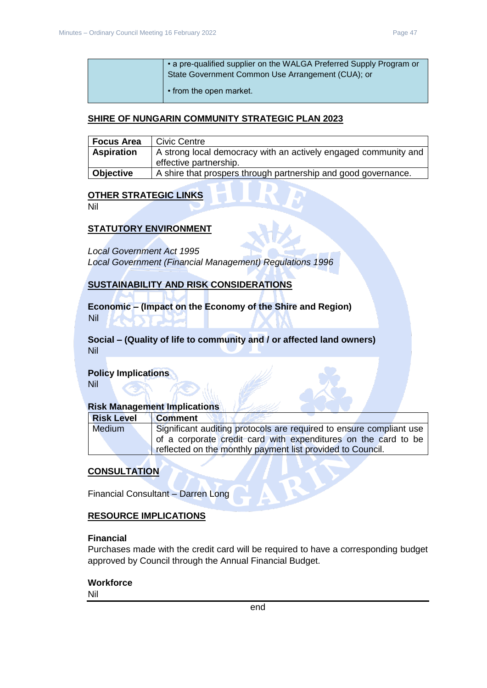| • a pre-qualified supplier on the WALGA Preferred Supply Program or<br>State Government Common Use Arrangement (CUA); or |
|--------------------------------------------------------------------------------------------------------------------------|
| • from the open market.                                                                                                  |

#### **SHIRE OF NUNGARIN COMMUNITY STRATEGIC PLAN 2023**

| Focus Area        | Civic Centre                                                    |
|-------------------|-----------------------------------------------------------------|
| <b>Aspiration</b> | A strong local democracy with an actively engaged community and |
|                   | effective partnership.                                          |
| Objective         | A shire that prospers through partnership and good governance.  |

# **OTHER STRATEGIC LINKS**

Nil

#### **STATUTORY ENVIRONMENT**

*Local Government Act 1995*

*Local Government (Financial Management) Regulations 1996*

#### **SUSTAINABILITY AND RISK CONSIDERATIONS**

**Economic – (Impact on the Economy of the Shire and Region)** Nil

**Social – (Quality of life to community and / or affected land owners)** Nil

#### **Policy Implications**

Nil

# **Risk Management Implications**

| <b>Risk Level</b> | <b>Comment</b>                                                      |
|-------------------|---------------------------------------------------------------------|
| Medium            | Significant auditing protocols are required to ensure compliant use |
|                   | of a corporate credit card with expenditures on the card to be      |
|                   | reflected on the monthly payment list provided to Council.          |

#### **CONSULTATION**

Financial Consultant – Darren Long

#### **RESOURCE IMPLICATIONS**

#### **Financial**

Purchases made with the credit card will be required to have a corresponding budget approved by Council through the Annual Financial Budget.

#### **Workforce**

Nil